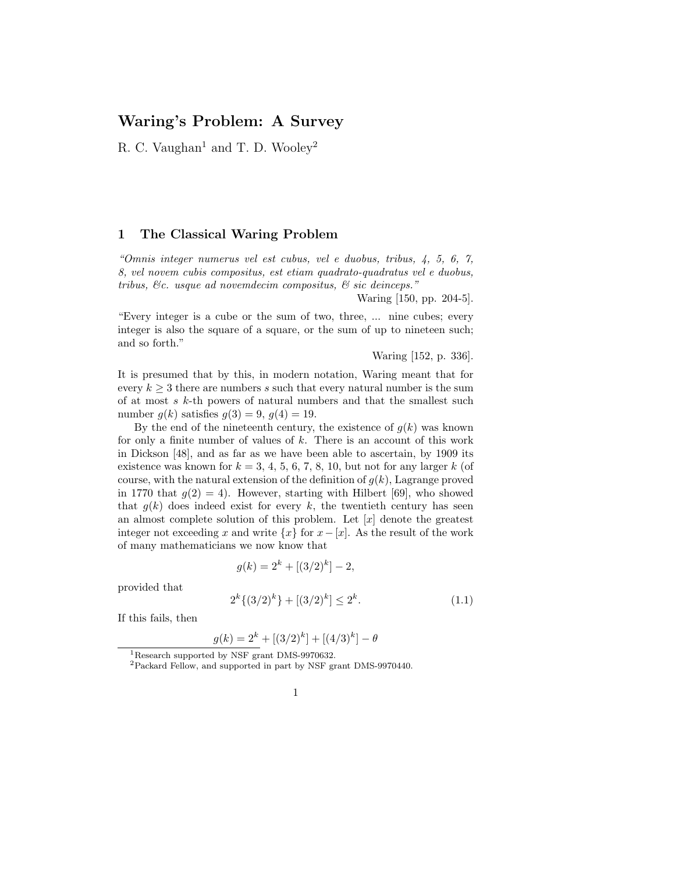# Waring's Problem: A Survey

R. C. Vaughan<sup>1</sup> and T. D. Wooley<sup>2</sup>

#### 1 The Classical Waring Problem

"Omnis integer numerus vel est cubus, vel e duobus, tribus, 4, 5, 6, 7, 8, vel novem cubis compositus, est etiam quadrato-quadratus vel e duobus, tribus, &c. usque ad novemdecim compositus, & sic deinceps."

Waring [150, pp. 204-5].

"Every integer is a cube or the sum of two, three, ... nine cubes; every integer is also the square of a square, or the sum of up to nineteen such; and so forth."

Waring [152, p. 336].

It is presumed that by this, in modern notation, Waring meant that for every  $k \geq 3$  there are numbers s such that every natural number is the sum of at most  $s$   $k$ -th powers of natural numbers and that the smallest such number  $g(k)$  satisfies  $g(3) = 9$ ,  $g(4) = 19$ .

By the end of the nineteenth century, the existence of  $g(k)$  was known for only a finite number of values of  $k$ . There is an account of this work in Dickson [48], and as far as we have been able to ascertain, by 1909 its existence was known for  $k = 3, 4, 5, 6, 7, 8, 10$ , but not for any larger k (of course, with the natural extension of the definition of  $g(k)$ , Lagrange proved in 1770 that  $g(2) = 4$ ). However, starting with Hilbert [69], who showed that  $g(k)$  does indeed exist for every k, the twentieth century has seen an almost complete solution of this problem. Let  $[x]$  denote the greatest integer not exceeding x and write  $\{x\}$  for  $x-[x]$ . As the result of the work of many mathematicians we now know that

$$
g(k) = 2^k + [(3/2)^k] - 2,
$$

provided that

$$
2^{k}\{(3/2)^{k}\} + [(3/2)^{k}] \le 2^{k}.\tag{1.1}
$$

If this fails, then

$$
g(k) = 2^{k} + [(3/2)^{k}] + [(4/3)^{k}] - \theta
$$

<sup>1</sup>Research supported by NSF grant DMS-9970632.

<sup>2</sup>Packard Fellow, and supported in part by NSF grant DMS-9970440.

<sup>1</sup>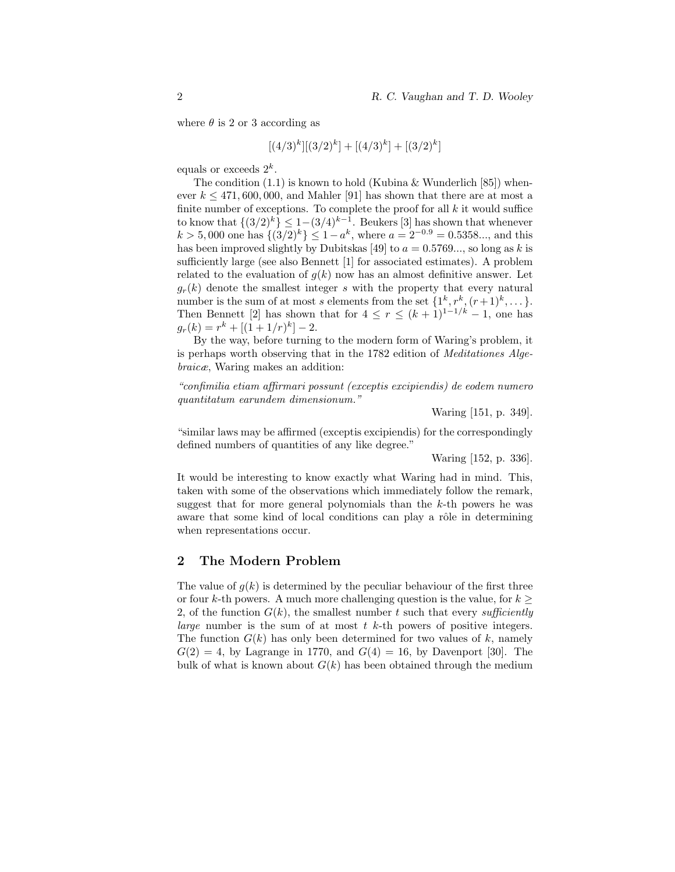where  $\theta$  is 2 or 3 according as

$$
[(4/3)^k][(3/2)^k] + [(4/3)^k] + [(3/2)^k]
$$

equals or exceeds  $2^k$ .

The condition  $(1.1)$  is known to hold (Kubina & Wunderlich [85]) whenever  $k \leq 471,600,000$ , and Mahler [91] has shown that there are at most a finite number of exceptions. To complete the proof for all  $k$  it would suffice to know that  $\{(3/2)^k\}\leq 1-(3/4)^{k-1}$ . Beukers [3] has shown that whenever  $k > 5,000$  one has  $\{(3/2)^k\} \leq 1 - a^k$ , where  $a = 2^{-0.9} = 0.5358...$ , and this has been improved slightly by Dubitskas [49] to  $a = 0.5769...$ , so long as k is sufficiently large (see also Bennett [1] for associated estimates). A problem related to the evaluation of  $q(k)$  now has an almost definitive answer. Let  $q_r(k)$  denote the smallest integer s with the property that every natural number is the sum of at most s elements from the set  $\{1^k, r^k, (r+1)^k, \dots\}$ . Then Bennett [2] has shown that for  $4 \leq r \leq (k+1)^{1-1/k} - 1$ , one has  $g_r(k) = r^k + [(1+1/r)^k] - 2.$ 

By the way, before turning to the modern form of Waring's problem, it is perhaps worth observing that in the 1782 edition of Meditationes Algebraicæ, Waring makes an addition:

"confimilia etiam affirmari possunt (exceptis excipiendis) de eodem numero quantitatum earundem dimensionum."

Waring [151, p. 349].

"similar laws may be affirmed (exceptis excipiendis) for the correspondingly defined numbers of quantities of any like degree."

Waring [152, p. 336].

It would be interesting to know exactly what Waring had in mind. This, taken with some of the observations which immediately follow the remark, suggest that for more general polynomials than the k-th powers he was aware that some kind of local conditions can play a rôle in determining when representations occur.

### 2 The Modern Problem

The value of  $g(k)$  is determined by the peculiar behaviour of the first three or four k-th powers. A much more challenging question is the value, for  $k \geq$ 2, of the function  $G(k)$ , the smallest number t such that every sufficiently *large* number is the sum of at most  $t$   $k$ -th powers of positive integers. The function  $G(k)$  has only been determined for two values of k, namely  $G(2) = 4$ , by Lagrange in 1770, and  $G(4) = 16$ , by Davenport [30]. The bulk of what is known about  $G(k)$  has been obtained through the medium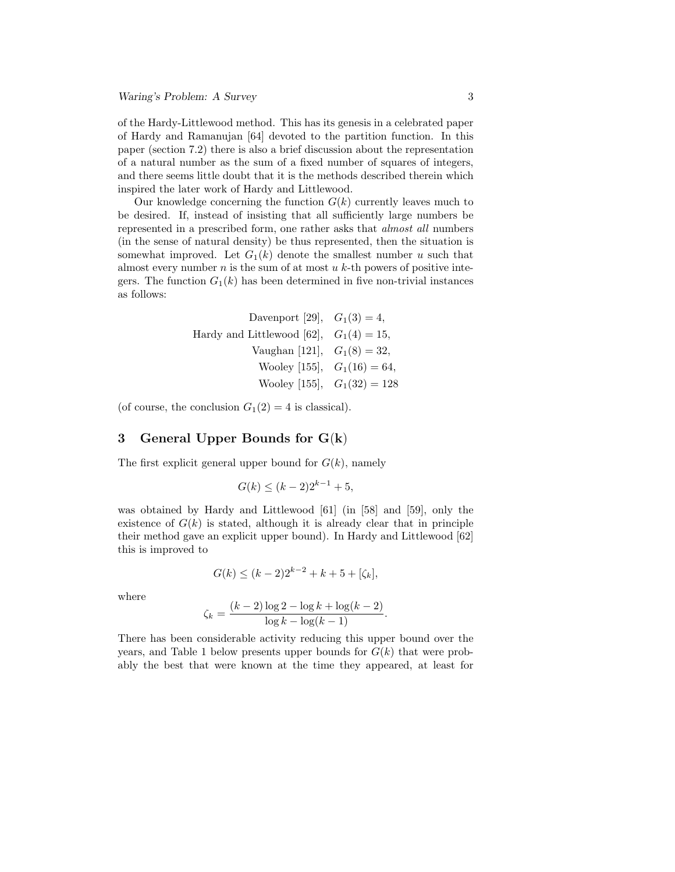of the Hardy-Littlewood method. This has its genesis in a celebrated paper of Hardy and Ramanujan [64] devoted to the partition function. In this paper (section 7.2) there is also a brief discussion about the representation of a natural number as the sum of a fixed number of squares of integers, and there seems little doubt that it is the methods described therein which inspired the later work of Hardy and Littlewood.

Our knowledge concerning the function  $G(k)$  currently leaves much to be desired. If, instead of insisting that all sufficiently large numbers be represented in a prescribed form, one rather asks that almost all numbers (in the sense of natural density) be thus represented, then the situation is somewhat improved. Let  $G_1(k)$  denote the smallest number u such that almost every number  $n$  is the sum of at most  $u$   $k$ -th powers of positive integers. The function  $G_1(k)$  has been determined in five non-trivial instances as follows:

Davenport [29], 
$$
G_1(3) = 4
$$
,

\nHardy and Littlewood [62],  $G_1(4) = 15$ ,

\nVaughan [121],  $G_1(8) = 32$ ,

\nWooley [155],  $G_1(16) = 64$ ,

\nWooley [155],  $G_1(32) = 128$ 

(of course, the conclusion  $G_1(2) = 4$  is classical).

### 3 General Upper Bounds for G(k)

The first explicit general upper bound for  $G(k)$ , namely

$$
G(k) \le (k-2)2^{k-1} + 5,
$$

was obtained by Hardy and Littlewood [61] (in [58] and [59], only the existence of  $G(k)$  is stated, although it is already clear that in principle their method gave an explicit upper bound). In Hardy and Littlewood [62] this is improved to

$$
G(k) \le (k-2)2^{k-2} + k + 5 + [\zeta_k],
$$

where

$$
\zeta_k = \frac{(k-2)\log 2 - \log k + \log(k-2)}{\log k - \log(k-1)}.
$$

There has been considerable activity reducing this upper bound over the years, and Table 1 below presents upper bounds for  $G(k)$  that were probably the best that were known at the time they appeared, at least for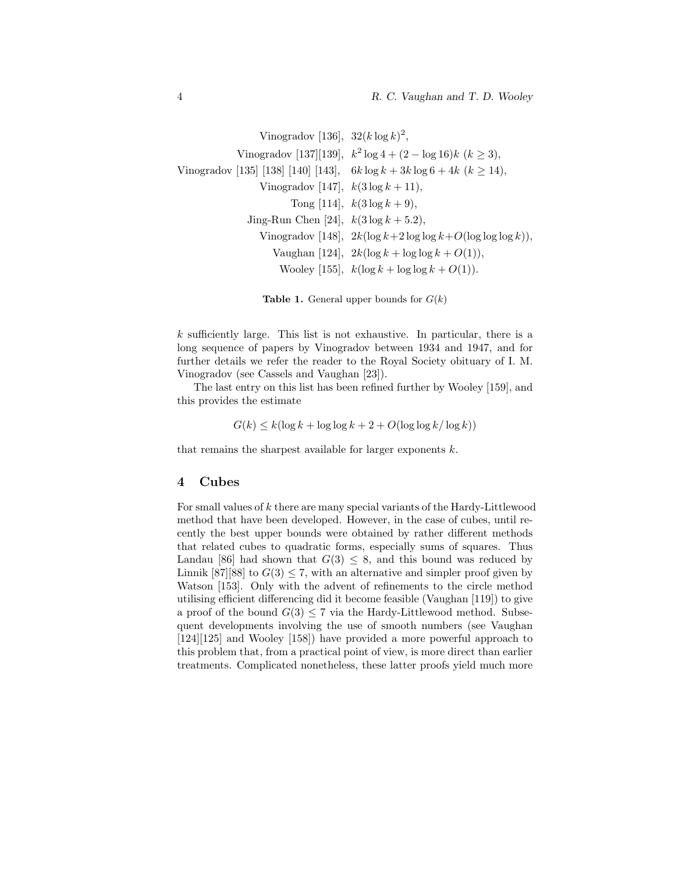```
Vinogradov [136], 32(k \log k)^2,
             Vinogradov [137][139], k^2 \log 4 + (2 - \log 16)k \ (k \geq 3),
Vinogradov [135] [138] [140] [143], 6k \log k + 3k \log 6 + 4k (k > 14),
                  Vinogradov [147], k(3 \log k + 11),
                         Tong [114], k(3 \log k + 9),
               Jing-Run Chen [24], k(3 \log k + 5.2),
                  Vinogradov [148], 2k(\log k+2 \log \log k+O(\log \log \log k)),Vaughan [124], 2k(\log k + \log \log k + O(1)),Wooley [155], k(\log k + \log \log k + O(1)).
```

```
Table 1. General upper bounds for G(k)
```
k sufficiently large. This list is not exhaustive. In particular, there is a long sequence of papers by Vinogradov between 1934 and 1947, and for further details we refer the reader to the Royal Society obituary of I. M. Vinogradov (see Cassels and Vaughan [23]).

The last entry on this list has been refined further by Wooley [159], and this provides the estimate

$$
G(k) \le k(\log k + \log \log k + 2 + O(\log \log k / \log k))
$$

that remains the sharpest available for larger exponents k.

#### 4 Cubes

For small values of  $k$  there are many special variants of the Hardy-Littlewood method that have been developed. However, in the case of cubes, until recently the best upper bounds were obtained by rather different methods that related cubes to quadratic forms, especially sums of squares. Thus Landau [86] had shown that  $G(3) \leq 8$ , and this bound was reduced by Linnik [87][88] to  $G(3) \le 7$ , with an alternative and simpler proof given by Watson [153]. Only with the advent of refinements to the circle method utilising efficient differencing did it become feasible (Vaughan [119]) to give a proof of the bound  $G(3) \leq 7$  via the Hardy-Littlewood method. Subsequent developments involving the use of smooth numbers (see Vaughan [124][125] and Wooley [158]) have provided a more powerful approach to this problem that, from a practical point of view, is more direct than earlier treatments. Complicated nonetheless, these latter proofs yield much more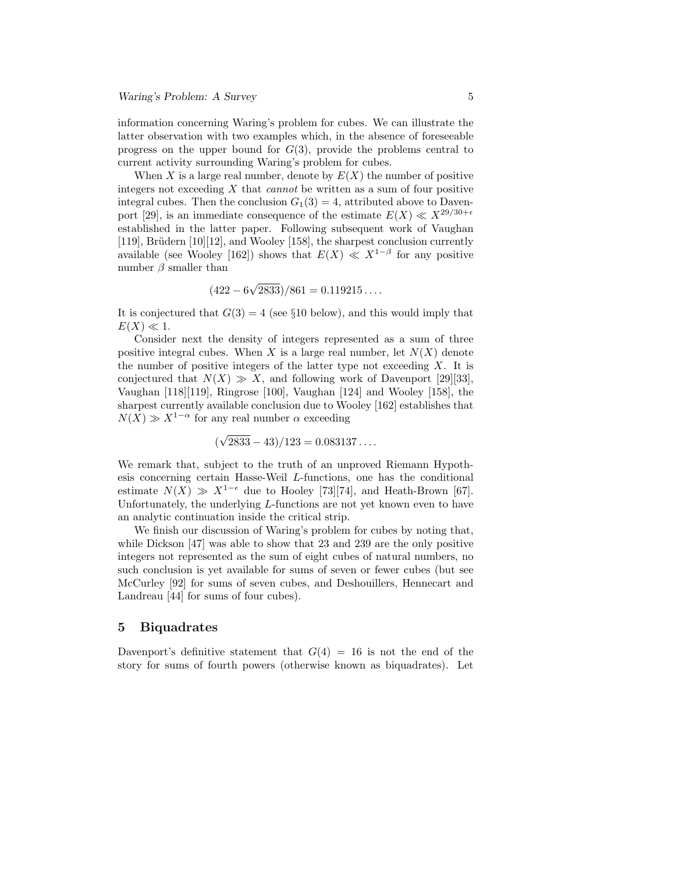information concerning Waring's problem for cubes. We can illustrate the latter observation with two examples which, in the absence of foreseeable progress on the upper bound for  $G(3)$ , provide the problems central to current activity surrounding Waring's problem for cubes.

When X is a large real number, denote by  $E(X)$  the number of positive integers not exceeding  $X$  that *cannot* be written as a sum of four positive integral cubes. Then the conclusion  $G_1(3) = 4$ , attributed above to Davenport [29], is an immediate consequence of the estimate  $E(X) \ll X^{29/30+\epsilon}$ established in the latter paper. Following subsequent work of Vaughan [119], Brüdern  $[10][12]$ , and Wooley [158], the sharpest conclusion currently available (see Wooley [162]) shows that  $E(X) \ll X^{1-\beta}$  for any positive number  $\beta$  smaller than

$$
(422 - 6\sqrt{2833})/861 = 0.119215...
$$

It is conjectured that  $G(3) = 4$  (see §10 below), and this would imply that  $E(X) \ll 1$ .

Consider next the density of integers represented as a sum of three positive integral cubes. When X is a large real number, let  $N(X)$  denote the number of positive integers of the latter type not exceeding  $X$ . It is conjectured that  $N(X) \gg X$ , and following work of Davenport [29][33], Vaughan [118][119], Ringrose [100], Vaughan [124] and Wooley [158], the sharpest currently available conclusion due to Wooley [162] establishes that  $N(X) \gg X^{1-\alpha}$  for any real number  $\alpha$  exceeding

$$
(\sqrt{2833} - 43)/123 = 0.083137...
$$

We remark that, subject to the truth of an unproved Riemann Hypothesis concerning certain Hasse-Weil L-functions, one has the conditional estimate  $N(X) \gg X^{1-\epsilon}$  due to Hooley [73][74], and Heath-Brown [67]. Unfortunately, the underlying L-functions are not yet known even to have an analytic continuation inside the critical strip.

We finish our discussion of Waring's problem for cubes by noting that, while Dickson [47] was able to show that 23 and 239 are the only positive integers not represented as the sum of eight cubes of natural numbers, no such conclusion is yet available for sums of seven or fewer cubes (but see McCurley [92] for sums of seven cubes, and Deshouillers, Hennecart and Landreau [44] for sums of four cubes).

#### 5 Biquadrates

Davenport's definitive statement that  $G(4) = 16$  is not the end of the story for sums of fourth powers (otherwise known as biquadrates). Let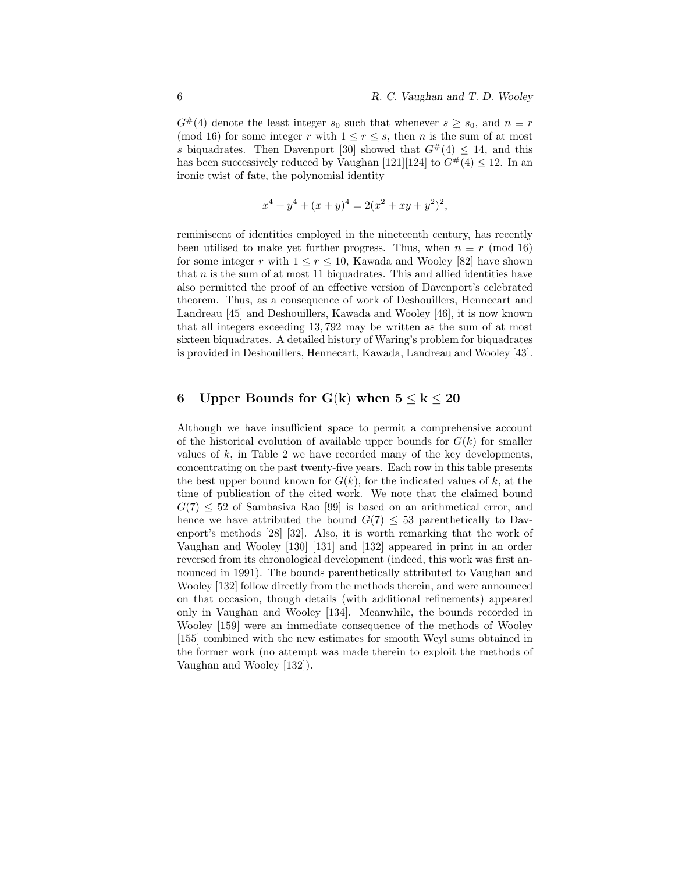$G^{\#}(4)$  denote the least integer  $s_0$  such that whenever  $s \geq s_0$ , and  $n \equiv r$ (mod 16) for some integer r with  $1 \leq r \leq s$ , then n is the sum of at most s biquadrates. Then Davenport [30] showed that  $G^{\#}(4) \leq 14$ , and this has been successively reduced by Vaughan [121][124] to  $G^{\#}(4) \leq 12$ . In an ironic twist of fate, the polynomial identity

$$
x^{4} + y^{4} + (x + y)^{4} = 2(x^{2} + xy + y^{2})^{2},
$$

reminiscent of identities employed in the nineteenth century, has recently been utilised to make yet further progress. Thus, when  $n \equiv r \pmod{16}$ for some integer r with  $1 \le r \le 10$ , Kawada and Wooley [82] have shown that  $n$  is the sum of at most 11 biquadrates. This and allied identities have also permitted the proof of an effective version of Davenport's celebrated theorem. Thus, as a consequence of work of Deshouillers, Hennecart and Landreau [45] and Deshouillers, Kawada and Wooley [46], it is now known that all integers exceeding 13, 792 may be written as the sum of at most sixteen biquadrates. A detailed history of Waring's problem for biquadrates is provided in Deshouillers, Hennecart, Kawada, Landreau and Wooley [43].

## 6 Upper Bounds for  $G(k)$  when  $5 \leq k \leq 20$

Although we have insufficient space to permit a comprehensive account of the historical evolution of available upper bounds for  $G(k)$  for smaller values of  $k$ , in Table 2 we have recorded many of the key developments, concentrating on the past twenty-five years. Each row in this table presents the best upper bound known for  $G(k)$ , for the indicated values of k, at the time of publication of the cited work. We note that the claimed bound  $G(7) \leq 52$  of Sambasiva Rao [99] is based on an arithmetical error, and hence we have attributed the bound  $G(7) \leq 53$  parenthetically to Davenport's methods [28] [32]. Also, it is worth remarking that the work of Vaughan and Wooley [130] [131] and [132] appeared in print in an order reversed from its chronological development (indeed, this work was first announced in 1991). The bounds parenthetically attributed to Vaughan and Wooley [132] follow directly from the methods therein, and were announced on that occasion, though details (with additional refinements) appeared only in Vaughan and Wooley [134]. Meanwhile, the bounds recorded in Wooley [159] were an immediate consequence of the methods of Wooley [155] combined with the new estimates for smooth Weyl sums obtained in the former work (no attempt was made therein to exploit the methods of Vaughan and Wooley [132]).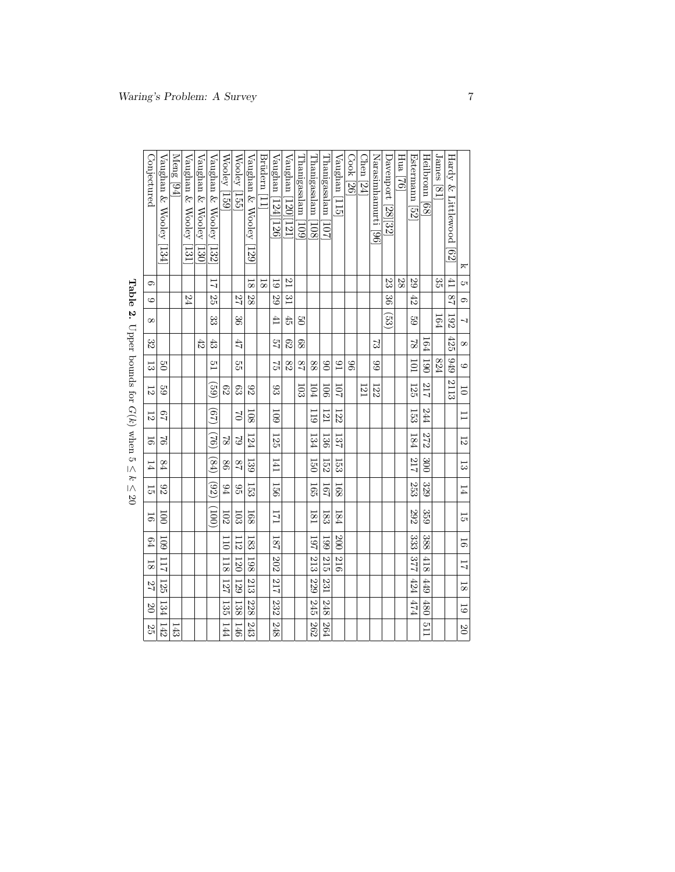|                                       |                |                          | Meng [94] |                                   |                         |                                      |               |                             |                        | Brüdern |                    |                        |                   |                              |                      |                 | Cook [26] | $\text{Chen}$  24 |                     |                          | Hua |                |                  |            |                         |                 |
|---------------------------------------|----------------|--------------------------|-----------|-----------------------------------|-------------------------|--------------------------------------|---------------|-----------------------------|------------------------|---------|--------------------|------------------------|-------------------|------------------------------|----------------------|-----------------|-----------|-------------------|---------------------|--------------------------|-----|----------------|------------------|------------|-------------------------|-----------------|
|                                       | Conjectured    | Vaughan & Wooley<br> 134 |           | Vaughan & Wooley<br>$\frac{1}{2}$ | Vaughan & Wooley<br>130 | Vaughan & Wooley<br>$\overline{132}$ | Wooley [159]  | Wooley  155                 | Vaughan & Wooley [129] |         | Vaughan [124][126] | Vaughan<br>120<br>[21] | Thanigasalam [109 | $\Gamma$ hanigasalam $[108]$ | Thanigasalam<br> 101 | Vaughan  <br>ΠJ |           |                   | Narasimhamurti [96] | Davenport<br>28 32       | 32  | Estermann [52] | Heilbronn [68]   | James [81] | Hardy & Littlewood [62] | ᠷ               |
|                                       | G              |                          |           |                                   |                         | $\overline{11}$                      |               |                             | $\frac{8}{18}$         | 18      | $\overline{6}$     | L <sub>C</sub>         |                   |                              |                      |                 |           |                   |                     | 23                       | 28  | 67             |                  | 33<br>S    | F <sub>1</sub>          | ŌТ              |
| $\begin{array}{c} \hline \end{array}$ | G              |                          |           | 24                                |                         | 25                                   |               | 25                          | 28                     |         | 67                 | $\frac{3}{2}$          |                   |                              |                      |                 |           |                   |                     | 98                       |     | 42             |                  |            | $\overline{28}$         | G.              |
| C<br>$\frac{1}{2}$                    | $\infty$       |                          |           |                                   |                         | 33<br>33                             |               | $\mathfrak{B}^{\mathbb{C}}$ |                        |         | Ŧ                  | $\ddot{5}$             | g                 |                              |                      |                 |           |                   |                     | $\widetilde{\mathbb{S}}$ |     | $\overline{6}$ |                  | 164        | 192                     |                 |
|                                       | 32             |                          |           |                                   | $\ddot{42}$             | $\ddot{3}$                           |               | 47                          |                        |         | 24                 | C <sub>3</sub>         | 89                |                              |                      |                 |           |                   | S,                  |                          |     | $\approx$      | 164              |            | 425                     | $\infty$        |
|                                       | 53             | $\overline{c}$           |           |                                   |                         | $\frac{c}{1}$                        |               | ςq                          |                        |         | $\mathbb{S}^1$     | 82                     | 28                | 88                           | $\frac{8}{2}$        | $\overline{16}$ | 96        |                   | 66                  |                          |     | 101            | $\overline{061}$ | 824        | 6†6                     | $\circ$         |
| $\frac{1}{2}$                         | 12             | $^{29}$                  |           |                                   |                         | (69)                                 | 62            | 63                          | 82                     |         | SS <sub>0</sub>    |                        | 103               | 104                          | 50.                  | 101             |           | 121               | 122                 |                          |     | 125            | 212              |            | 2113                    | $\overline{0}$  |
| ココン                                   | 12             | 29                       |           |                                   |                         | (67)                                 |               | $\mathbb{S}$                | 108                    |         | <b>60I</b>         |                        |                   | 119                          | 121                  | 122             |           |                   |                     |                          |     | 153            | 244              |            |                         | Ξ               |
| $\overline{\phantom{a}}$              | 5              | $\mathfrak{D}$           |           |                                   |                         | (92)                                 | $\approx$     | $\mathbb{S}^1$              | 124                    |         | 125                |                        |                   | 134                          | 136                  | 137             |           |                   |                     |                          |     | 184            | 272              |            |                         | 12              |
| 7                                     | 14             | 84                       |           |                                   |                         | (64)                                 | $\frac{8}{6}$ | 28                          | 139                    |         | I41                |                        |                   | 150                          | 152                  | 153             |           |                   |                     |                          |     | 212            | 300              |            |                         | 53              |
| )<br>)<br>)<br>)                      | 55             | 82                       |           |                                   |                         | (32)                                 | 94            | $\frac{6}{2}$               | 153                    |         | 156                |                        |                   | 165                          | 191                  | 168             |           |                   |                     |                          |     | 253            | 329              |            |                         | 14              |
|                                       | 56             | $\overline{5}$           |           |                                   |                         | (1001)                               | 102           | 103                         | 168                    |         | 171                |                        |                   | 181                          | 183                  | 184             |           |                   |                     |                          |     | 292            | 359              |            |                         | 5               |
|                                       | 64             | $\overline{109}$         |           |                                   |                         |                                      | ΟII           | 112                         | 183                    |         | 181                |                        |                   | 161                          | <b>661</b>           | 200             |           |                   |                     |                          |     | 33<br>33       | 388              |            |                         | $\overline{16}$ |
|                                       | $\overline{8}$ | 111                      |           |                                   |                         |                                      | 118           | 120                         | 198                    |         | 202                |                        |                   | 213                          | 215                  | 216             |           |                   |                     |                          |     | 377            | $\frac{1}{418}$  |            |                         | $\overline{11}$ |
|                                       | 22             | 125                      |           |                                   |                         |                                      | 127           | 129                         | 213                    |         | 1217               |                        |                   | 229                          | 231                  |                 |           |                   |                     |                          |     | 424            | 449              |            |                         | 18              |
|                                       | $\infty$       | 134                      |           |                                   |                         |                                      | 135           | 138                         | 228                    |         | 232                |                        |                   | 245                          | 248                  |                 |           |                   |                     |                          |     | b2b            | 480              |            |                         | $\overline{61}$ |
|                                       | 25             | 142                      | 143       |                                   |                         |                                      | 144           | 146                         | 243                    |         | 248                |                        |                   | 262                          | 264                  |                 |           |                   |                     |                          |     |                | <b>LIG</b>       |            |                         | $\overline{c}$  |

Table 2. Upper bounds for  $G(k)$  when 5  $\frac{1}{2}$  k  $\leq$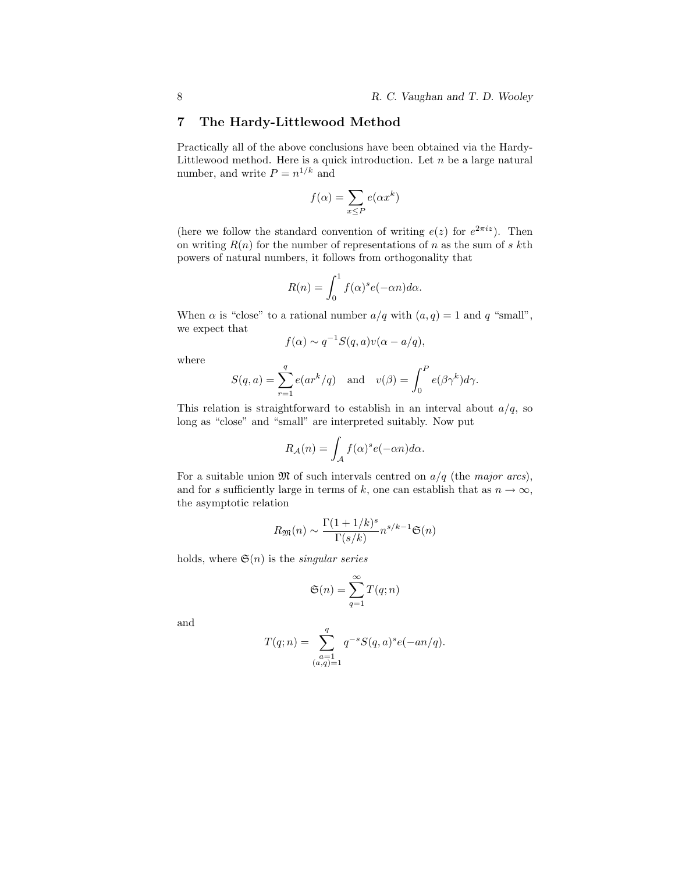## 7 The Hardy-Littlewood Method

Practically all of the above conclusions have been obtained via the Hardy-Littlewood method. Here is a quick introduction. Let  $n$  be a large natural number, and write  $P = n^{1/k}$  and

$$
f(\alpha) = \sum_{x \le P} e(\alpha x^k)
$$

(here we follow the standard convention of writing  $e(z)$  for  $e^{2\pi i z}$ ). Then on writing  $R(n)$  for the number of representations of n as the sum of s kth powers of natural numbers, it follows from orthogonality that

$$
R(n) = \int_0^1 f(\alpha)^s e(-\alpha n) d\alpha.
$$

When  $\alpha$  is "close" to a rational number  $a/q$  with  $(a, q) = 1$  and q "small", we expect that

$$
f(\alpha) \sim q^{-1} S(q, a) v(\alpha - a/q),
$$

where

$$
S(q, a) = \sum_{r=1}^{q} e(ar^{k}/q) \text{ and } v(\beta) = \int_{0}^{P} e(\beta \gamma^{k}) d\gamma.
$$

This relation is straightforward to establish in an interval about  $a/q$ , so long as "close" and "small" are interpreted suitably. Now put

$$
R_{\mathcal{A}}(n) = \int_{\mathcal{A}} f(\alpha)^s e(-\alpha n) d\alpha.
$$

For a suitable union  $\mathfrak{M}$  of such intervals centred on  $a/q$  (the major arcs), and for s sufficiently large in terms of k, one can establish that as  $n \to \infty$ , the asymptotic relation

$$
R_{\mathfrak{M}}(n) \sim \frac{\Gamma(1+1/k)^s}{\Gamma(s/k)} n^{s/k-1} \mathfrak{S}(n)
$$

holds, where  $\mathfrak{S}(n)$  is the *singular series* 

$$
\mathfrak{S}(n) = \sum_{q=1}^{\infty} T(q; n)
$$

and

$$
T(q; n) = \sum_{\substack{a=1 \ (a,q)=1}}^{q} q^{-s} S(q, a)^s e(-an/q).
$$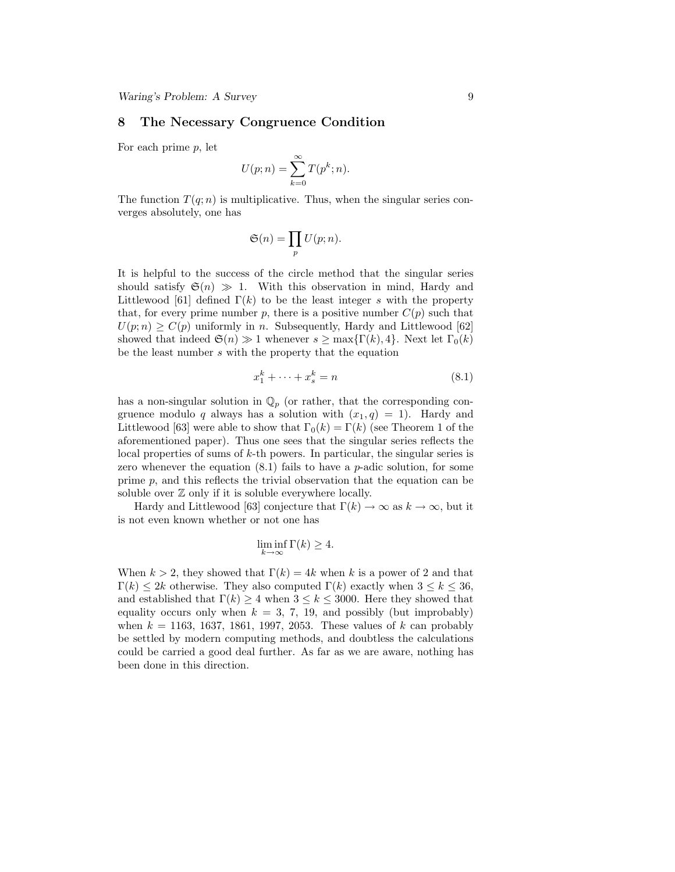#### 8 The Necessary Congruence Condition

For each prime p, let

$$
U(p; n) = \sum_{k=0}^{\infty} T(p^k; n).
$$

The function  $T(q; n)$  is multiplicative. Thus, when the singular series converges absolutely, one has

$$
\mathfrak{S}(n) = \prod_p U(p; n).
$$

It is helpful to the success of the circle method that the singular series should satisfy  $\mathfrak{S}(n) \gg 1$ . With this observation in mind, Hardy and Littlewood [61] defined  $\Gamma(k)$  to be the least integer s with the property that, for every prime number p, there is a positive number  $C(p)$  such that  $U(p; n) \geq C(p)$  uniformly in n. Subsequently, Hardy and Littlewood [62] showed that indeed  $\mathfrak{S}(n) \gg 1$  whenever  $s \geq \max\{\Gamma(k), 4\}$ . Next let  $\Gamma_0(k)$ be the least number s with the property that the equation

$$
x_1^k + \dots + x_s^k = n \tag{8.1}
$$

has a non-singular solution in  $\mathbb{Q}_p$  (or rather, that the corresponding congruence modulo q always has a solution with  $(x_1, q) = 1$ . Hardy and Littlewood [63] were able to show that  $\Gamma_0(k) = \Gamma(k)$  (see Theorem 1 of the aforementioned paper). Thus one sees that the singular series reflects the local properties of sums of  $k$ -th powers. In particular, the singular series is zero whenever the equation  $(8.1)$  fails to have a *p*-adic solution, for some prime p, and this reflects the trivial observation that the equation can be soluble over  $\mathbb Z$  only if it is soluble everywhere locally.

Hardy and Littlewood [63] conjecture that  $\Gamma(k) \to \infty$  as  $k \to \infty$ , but it is not even known whether or not one has

$$
\liminf_{k \to \infty} \Gamma(k) \ge 4.
$$

When  $k > 2$ , they showed that  $\Gamma(k) = 4k$  when k is a power of 2 and that  $\Gamma(k) \leq 2k$  otherwise. They also computed  $\Gamma(k)$  exactly when  $3 \leq k \leq 36$ , and established that  $\Gamma(k) \geq 4$  when  $3 \leq k \leq 3000$ . Here they showed that equality occurs only when  $k = 3, 7, 19$ , and possibly (but improbably) when  $k = 1163, 1637, 1861, 1997, 2053$ . These values of k can probably be settled by modern computing methods, and doubtless the calculations could be carried a good deal further. As far as we are aware, nothing has been done in this direction.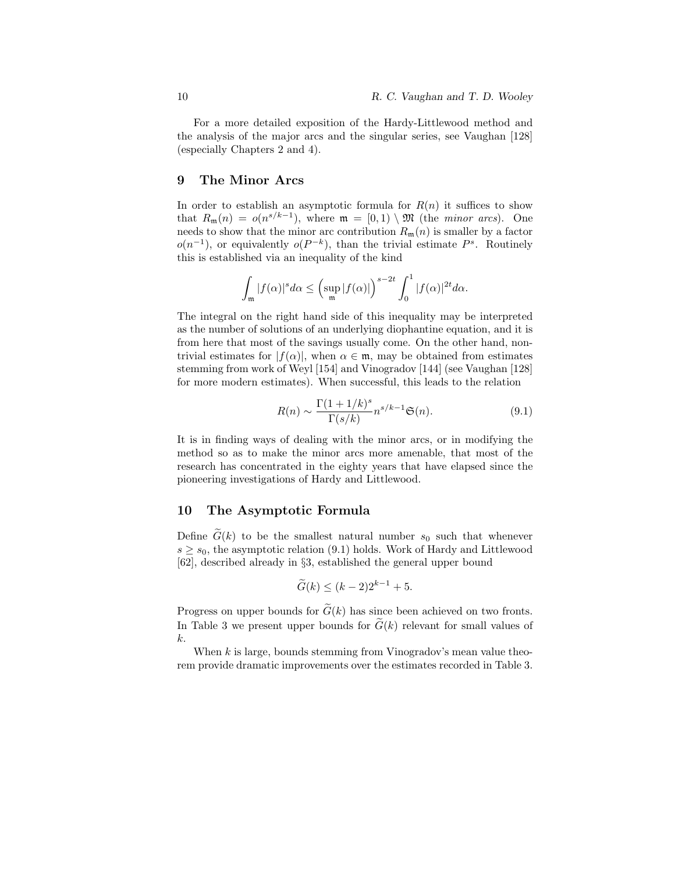For a more detailed exposition of the Hardy-Littlewood method and the analysis of the major arcs and the singular series, see Vaughan [128] (especially Chapters 2 and 4).

### 9 The Minor Arcs

In order to establish an asymptotic formula for  $R(n)$  it suffices to show that  $R_{\mathfrak{m}}(n) = o(n^{s/k-1})$ , where  $\mathfrak{m} = [0,1) \setminus \mathfrak{M}$  (the *minor arcs*). One needs to show that the minor arc contribution  $R_{\rm m}(n)$  is smaller by a factor  $o(n^{-1})$ , or equivalently  $o(P^{-k})$ , than the trivial estimate  $P^s$ . Routinely this is established via an inequality of the kind

$$
\int_{\mathfrak{m}}|f(\alpha)|^s d\alpha \leq \left(\sup_{\mathfrak{m}}|f(\alpha)|\right)^{s-2t} \int_0^1|f(\alpha)|^{2t} d\alpha.
$$

The integral on the right hand side of this inequality may be interpreted as the number of solutions of an underlying diophantine equation, and it is from here that most of the savings usually come. On the other hand, nontrivial estimates for  $|f(\alpha)|$ , when  $\alpha \in \mathfrak{m}$ , may be obtained from estimates stemming from work of Weyl [154] and Vinogradov [144] (see Vaughan [128] for more modern estimates). When successful, this leads to the relation

$$
R(n) \sim \frac{\Gamma(1+1/k)^s}{\Gamma(s/k)} n^{s/k-1} \mathfrak{S}(n). \tag{9.1}
$$

It is in finding ways of dealing with the minor arcs, or in modifying the method so as to make the minor arcs more amenable, that most of the research has concentrated in the eighty years that have elapsed since the pioneering investigations of Hardy and Littlewood.

#### 10 The Asymptotic Formula

Define  $\widetilde{G}(k)$  to be the smallest natural number  $s_0$  such that whenever  $s \geq s_0$ , the asymptotic relation (9.1) holds. Work of Hardy and Littlewood [62], described already in §3, established the general upper bound

$$
\widetilde{G}(k) \le (k-2)2^{k-1} + 5.
$$

Progress on upper bounds for  $\tilde{G}(k)$  has since been achieved on two fronts. In Table 3 we present upper bounds for  $\widetilde{G}(k)$  relevant for small values of k.

When  $k$  is large, bounds stemming from Vinogradov's mean value theorem provide dramatic improvements over the estimates recorded in Table 3.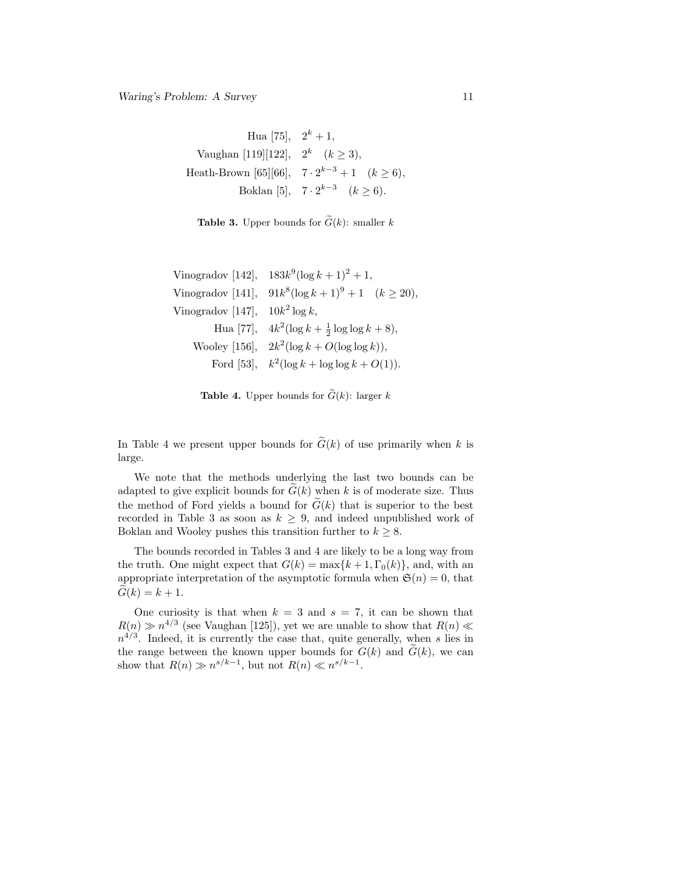Hua [75],  $2^k + 1$ , Vaughan [119][122],  $2^k$   $(k \ge 3)$ , Heath-Brown [65][66],  $7 \cdot 2^{k-3} + 1 \quad (k \ge 6)$ , Boklan [5],  $7 \cdot 2^{k-3}$   $(k \ge 6)$ .

**Table 3.** Upper bounds for  $\tilde{G}(k)$ : smaller k

|                                    | Vinogradov [142], $183k^9(\log k + 1)^2 + 1$ ,          |
|------------------------------------|---------------------------------------------------------|
| Vinogradov $[141]$ ,               | $91k^8(\log k+1)^9+1 \quad (k \ge 20),$                 |
| Vinogradov [147], $10k^2 \log k$ , |                                                         |
|                                    | Hua [77], $4k^2(\log k + \frac{1}{2}\log \log k + 8)$ , |
|                                    | Wooley [156], $2k^2(\log k + O(\log \log k))$ ,         |
|                                    | Ford [53], $k^2(\log k + \log \log k + O(1)).$          |

**Table 4.** Upper bounds for  $\tilde{G}(k)$ : larger k

In Table 4 we present upper bounds for  $\tilde{G}(k)$  of use primarily when k is large.

We note that the methods underlying the last two bounds can be adapted to give explicit bounds for  $G(k)$  when k is of moderate size. Thus the method of Ford yields a bound for  $\tilde{G}(k)$  that is superior to the best recorded in Table 3 as soon as  $k \geq 9$ , and indeed unpublished work of Boklan and Wooley pushes this transition further to  $k \geq 8$ .

The bounds recorded in Tables 3 and 4 are likely to be a long way from the truth. One might expect that  $G(k) = \max\{k+1, \Gamma_0(k)\}\)$ , and, with an appropriate interpretation of the asymptotic formula when  $\mathfrak{S}(n) = 0$ , that  $G(k) = k + 1.$ 

One curiosity is that when  $k = 3$  and  $s = 7$ , it can be shown that  $R(n) \gg n^{4/3}$  (see Vaughan [125]), yet we are unable to show that  $R(n) \ll$  $n^{4/3}$ . Indeed, it is currently the case that, quite generally, when s lies in the range between the known upper bounds for  $G(k)$  and  $\widetilde{G}(k)$ , we can show that  $R(n) \gg n^{s/k-1}$ , but not  $R(n) \ll n^{s/k-1}$ .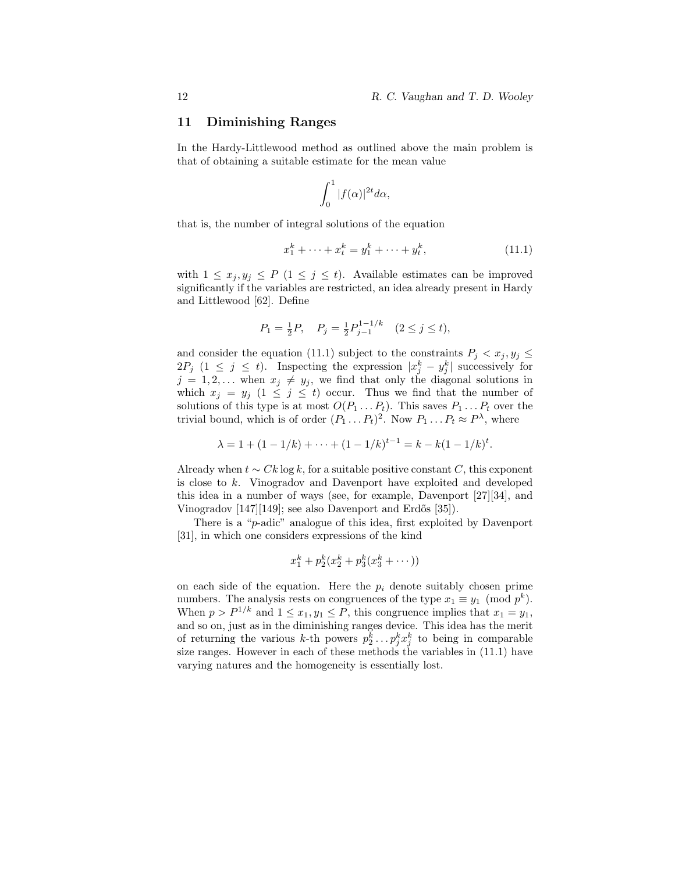### 11 Diminishing Ranges

In the Hardy-Littlewood method as outlined above the main problem is that of obtaining a suitable estimate for the mean value

$$
\int_0^1 |f(\alpha)|^{2t} d\alpha,
$$

that is, the number of integral solutions of the equation

$$
x_1^k + \dots + x_t^k = y_1^k + \dots + y_t^k, \tag{11.1}
$$

with  $1 \leq x_j, y_j \leq P$   $(1 \leq j \leq t)$ . Available estimates can be improved significantly if the variables are restricted, an idea already present in Hardy and Littlewood [62]. Define

$$
P_1 = \frac{1}{2}P, \quad P_j = \frac{1}{2}P_{j-1}^{1-1/k} \quad (2 \le j \le t),
$$

and consider the equation (11.1) subject to the constraints  $P_j < x_j, y_j \leq$  $2P_j$  (1  $\leq j \leq t$ ). Inspecting the expression  $|x_j^k - y_j^k|$  successively for  $j = 1, 2, \ldots$  when  $x_j \neq y_j$ , we find that only the diagonal solutions in which  $x_j = y_j$   $(1 \leq j \leq t)$  occur. Thus we find that the number of solutions of this type is at most  $O(P_1 \ldots P_t)$ . This saves  $P_1 \ldots P_t$  over the trivial bound, which is of order  $(P_1 \dots P_t)^2$ . Now  $P_1 \dots P_t \approx P^{\lambda}$ , where

$$
\lambda = 1 + (1 - 1/k) + \dots + (1 - 1/k)^{t-1} = k - k(1 - 1/k)^t.
$$

Already when  $t \sim Ck \log k$ , for a suitable positive constant C, this exponent is close to k. Vinogradov and Davenport have exploited and developed this idea in a number of ways (see, for example, Davenport [27][34], and Vinogradov [147][149]; see also Davenport and Erdős [35]).

There is a "p-adic" analogue of this idea, first exploited by Davenport [31], in which one considers expressions of the kind

$$
x_1^k + p_2^k (x_2^k + p_3^k (x_3^k + \dots))
$$

on each side of the equation. Here the  $p_i$  denote suitably chosen prime numbers. The analysis rests on congruences of the type  $x_1 \equiv y_1 \pmod{p^k}$ . When  $p > P^{1/k}$  and  $1 \le x_1, y_1 \le P$ , this congruence implies that  $x_1 = y_1$ , and so on, just as in the diminishing ranges device. This idea has the merit of returning the various k-th powers  $p_2^k \dots p_j^k x_j^k$  to being in comparable size ranges. However in each of these methods the variables in (11.1) have varying natures and the homogeneity is essentially lost.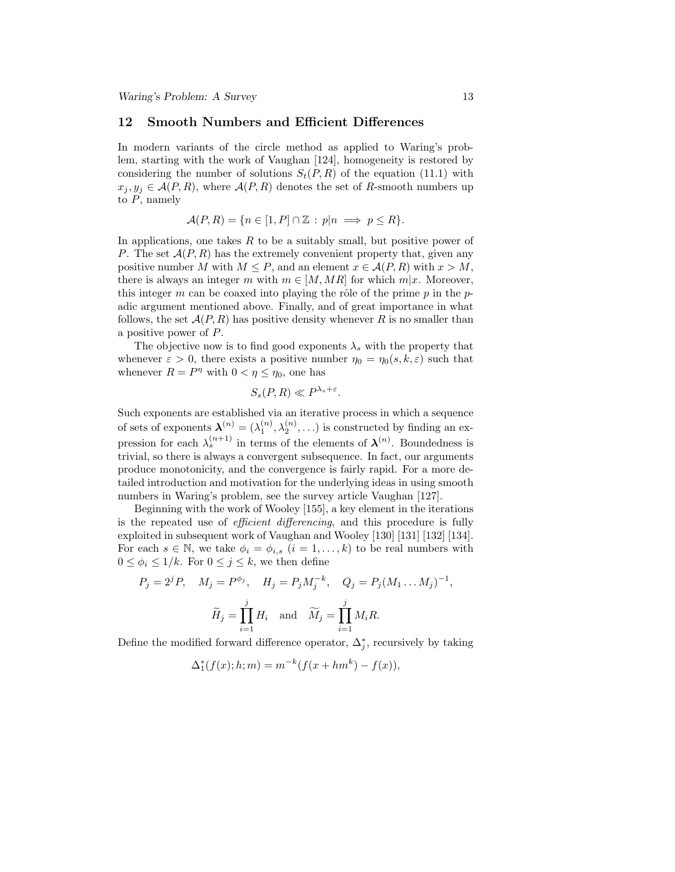#### 12 Smooth Numbers and Efficient Differences

In modern variants of the circle method as applied to Waring's problem, starting with the work of Vaughan [124], homogeneity is restored by considering the number of solutions  $S_t(P, R)$  of the equation (11.1) with  $x_j, y_j \in \mathcal{A}(P, R)$ , where  $\mathcal{A}(P, R)$  denotes the set of R-smooth numbers up to  $P$ , namely

$$
\mathcal{A}(P,R) = \{ n \in [1, P] \cap \mathbb{Z} : p|n \implies p \le R \}.
$$

In applications, one takes  $R$  to be a suitably small, but positive power of P. The set  $\mathcal{A}(P, R)$  has the extremely convenient property that, given any positive number M with  $M \leq P$ , and an element  $x \in \mathcal{A}(P, R)$  with  $x > M$ , there is always an integer m with  $m \in [M, MR]$  for which  $m|x$ . Moreover, this integer m can be coaxed into playing the rôle of the prime p in the padic argument mentioned above. Finally, and of great importance in what follows, the set  $\mathcal{A}(P, R)$  has positive density whenever R is no smaller than a positive power of P.

The objective now is to find good exponents  $\lambda_s$  with the property that whenever  $\varepsilon > 0$ , there exists a positive number  $\eta_0 = \eta_0(s, k, \varepsilon)$  such that whenever  $R = P^{\eta}$  with  $0 < \eta \le \eta_0$ , one has

$$
S_s(P,R) \ll P^{\lambda_s + \varepsilon}.
$$

Such exponents are established via an iterative process in which a sequence of sets of exponents  $\boldsymbol{\lambda}^{(n)} = (\lambda_1^{(n)}, \lambda_2^{(n)}, \ldots)$  is constructed by finding an expression for each  $\lambda_s^{(n+1)}$  in terms of the elements of  $\lambda^{(n)}$ . Boundedness is trivial, so there is always a convergent subsequence. In fact, our arguments produce monotonicity, and the convergence is fairly rapid. For a more detailed introduction and motivation for the underlying ideas in using smooth numbers in Waring's problem, see the survey article Vaughan [127].

Beginning with the work of Wooley [155], a key element in the iterations is the repeated use of *efficient differencing*, and this procedure is fully exploited in subsequent work of Vaughan and Wooley [130] [131] [132] [134]. For each  $s \in \mathbb{N}$ , we take  $\phi_i = \phi_{i,s}$   $(i = 1, \ldots, k)$  to be real numbers with  $0 \leq \phi_i \leq 1/k$ . For  $0 \leq j \leq k$ , we then define

$$
P_j = 2^j P, \quad M_j = P^{\phi_j}, \quad H_j = P_j M_j^{-k}, \quad Q_j = P_j (M_1 \dots M_j)^{-1},
$$

$$
\widetilde{H}_j = \prod_{i=1}^j H_i \quad \text{and} \quad \widetilde{M}_j = \prod_{i=1}^j M_i R.
$$

Define the modified forward difference operator,  $\Delta_j^*$ , recursively by taking

$$
\Delta_1^*(f(x); h; m) = m^{-k}(f(x+hm^k) - f(x)),
$$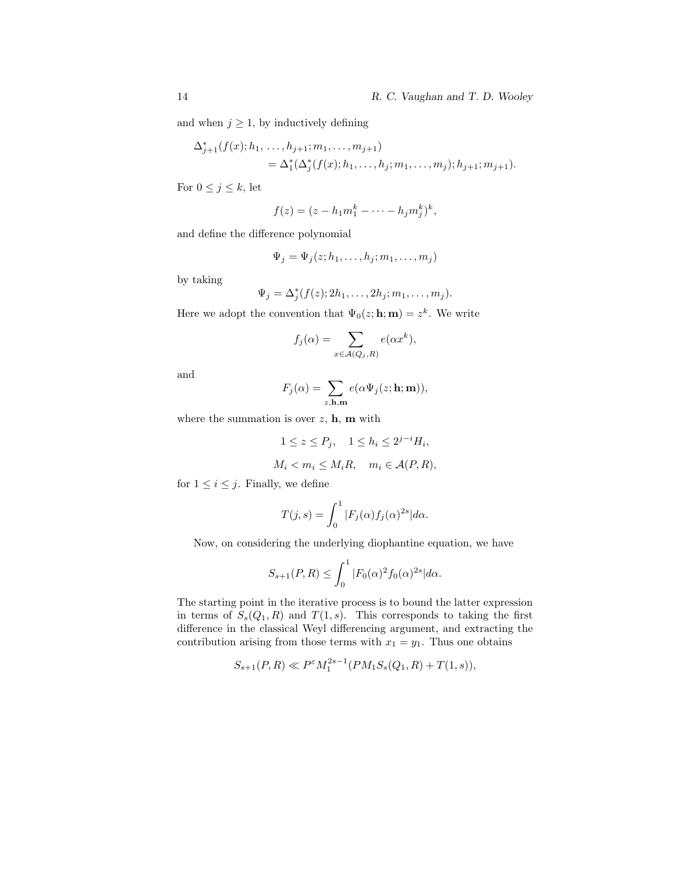and when  $j \geq 1$ , by inductively defining

$$
\Delta_{j+1}^*(f(x); h_1, \ldots, h_{j+1}; m_1, \ldots, m_{j+1})
$$
  
= 
$$
\Delta_1^*(\Delta_j^*(f(x); h_1, \ldots, h_j; m_1, \ldots, m_j); h_{j+1}; m_{j+1}).
$$

For  $0 \leq j \leq k$ , let

$$
f(z) = (z - h_1 m_1^k - \dots - h_j m_j^k)^k,
$$

and define the difference polynomial

$$
\Psi_j = \Psi_j(z; h_1, \dots, h_j; m_1, \dots, m_j)
$$

by taking

$$
\Psi_j = \Delta_j^*(f(z); 2h_1, \ldots, 2h_j; m_1, \ldots, m_j).
$$

Here we adopt the convention that  $\Psi_0(z; \mathbf{h}; \mathbf{m}) = z^k$ . We write

$$
f_j(\alpha) = \sum_{x \in \mathcal{A}(Q_j, R)} e(\alpha x^k),
$$

and

$$
F_j(\alpha) = \sum_{z, \mathbf{h}, \mathbf{m}} e(\alpha \Psi_j(z; \mathbf{h}; \mathbf{m})),
$$

where the summation is over  $z$ ,  $h$ ,  $m$  with

$$
1 \le z \le P_j, \quad 1 \le h_i \le 2^{j-i} H_i,
$$
  

$$
M_i < m_i \le M_i R, \quad m_i \in \mathcal{A}(P, R),
$$

for  $1 \leq i \leq j$ . Finally, we define

$$
T(j,s) = \int_0^1 |F_j(\alpha)f_j(\alpha)^{2s}|d\alpha.
$$

Now, on considering the underlying diophantine equation, we have

$$
S_{s+1}(P,R) \le \int_0^1 |F_0(\alpha)|^2 f_0(\alpha)^{2s} d\alpha.
$$

The starting point in the iterative process is to bound the latter expression in terms of  $S_s(Q_1, R)$  and  $T(1, s)$ . This corresponds to taking the first difference in the classical Weyl differencing argument, and extracting the contribution arising from those terms with  $x_1 = y_1$ . Thus one obtains

$$
S_{s+1}(P,R) \ll P^{\varepsilon} M_1^{2s-1}(PM_1S_s(Q_1,R) + T(1,s)),
$$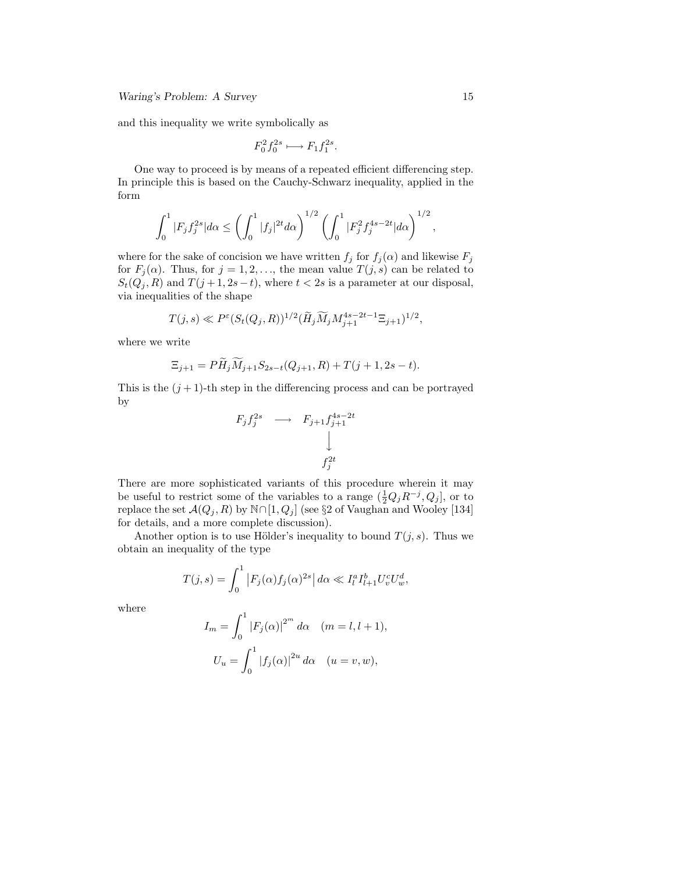and this inequality we write symbolically as

$$
F_0^2 f_0^{2s} \longmapsto F_1 f_1^{2s}.
$$

One way to proceed is by means of a repeated efficient differencing step. In principle this is based on the Cauchy-Schwarz inequality, applied in the form

$$
\int_0^1 |F_j f_j^{2s}| d\alpha \le \left(\int_0^1 |f_j|^{2t} d\alpha\right)^{1/2} \left(\int_0^1 |F_j^2 f_j^{4s-2t}| d\alpha\right)^{1/2},
$$

where for the sake of concision we have written  $f_j$  for  $f_j(\alpha)$  and likewise  $F_j$ for  $F_j(\alpha)$ . Thus, for  $j = 1, 2, \ldots$ , the mean value  $T(j, s)$  can be related to  $S_t(Q_j, R)$  and  $T(j + 1, 2s - t)$ , where  $t < 2s$  is a parameter at our disposal, via inequalities of the shape

$$
T(j,s) \ll P^{\varepsilon} (S_t(Q_j, R))^{1/2} (\widetilde{H}_j \widetilde{M}_j M_{j+1}^{4s - 2t - 1} \Xi_{j+1})^{1/2},
$$

where we write

$$
\Xi_{j+1} = P\widetilde{H}_j \widetilde{M}_{j+1} S_{2s-t}(Q_{j+1}, R) + T(j+1, 2s-t).
$$

This is the  $(j+1)$ -th step in the differencing process and can be portrayed by

$$
F_j f_j^{2s} \longrightarrow F_{j+1} f_{j+1}^{4s-2t}
$$

$$
\downarrow
$$

$$
f_j^{2t}
$$

There are more sophisticated variants of this procedure wherein it may be useful to restrict some of the variables to a range  $(\frac{1}{2}Q_jR^{-j}, Q_j]$ , or to replace the set  $\mathcal{A}(Q_j, R)$  by  $\mathbb{N} \cap [1, Q_j]$  (see §2 of Vaughan and Wooley [134] for details, and a more complete discussion).

Another option is to use Hölder's inequality to bound  $T(j, s)$ . Thus we obtain an inequality of the type

$$
T(j,s) = \int_0^1 |F_j(\alpha)f_j(\alpha)^{2s}| d\alpha \ll I_l^a I_{l+1}^b U_v^c U_w^d,
$$

where

$$
I_m = \int_0^1 |F_j(\alpha)|^{2^m} d\alpha \quad (m = l, l + 1),
$$
  

$$
U_u = \int_0^1 |f_j(\alpha)|^{2^u} d\alpha \quad (u = v, w),
$$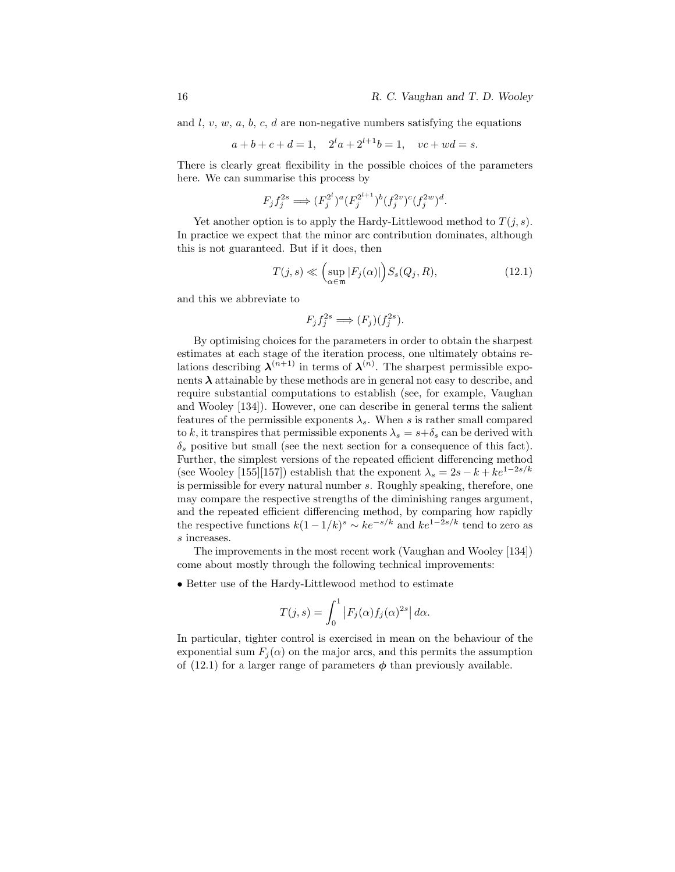and  $l, v, w, a, b, c, d$  are non-negative numbers satisfying the equations

$$
a+b+c+d=1
$$
,  $2^l a + 2^{l+1}b = 1$ ,  $vc+wd = s$ .

There is clearly great flexibility in the possible choices of the parameters here. We can summarise this process by

$$
F_j f_j^{2s} \Longrightarrow (F_j^{2^l})^a (F_j^{2^{l+1}})^b (f_j^{2v})^c (f_j^{2w})^d.
$$

Yet another option is to apply the Hardy-Littlewood method to  $T(j, s)$ . In practice we expect that the minor arc contribution dominates, although this is not guaranteed. But if it does, then

$$
T(j,s) \ll \left(\sup_{\alpha \in \mathfrak{m}} |F_j(\alpha)|\right) S_s(Q_j, R),\tag{12.1}
$$

and this we abbreviate to

$$
F_j f_j^{2s} \Longrightarrow (F_j)(f_j^{2s}).
$$

By optimising choices for the parameters in order to obtain the sharpest estimates at each stage of the iteration process, one ultimately obtains relations describing  $\lambda^{(n+1)}$  in terms of  $\lambda^{(n)}$ . The sharpest permissible exponents  $\lambda$  attainable by these methods are in general not easy to describe, and require substantial computations to establish (see, for example, Vaughan and Wooley [134]). However, one can describe in general terms the salient features of the permissible exponents  $\lambda_s$ . When s is rather small compared to k, it transpires that permissible exponents  $\lambda_s = s + \delta_s$  can be derived with  $\delta_s$  positive but small (see the next section for a consequence of this fact). Further, the simplest versions of the repeated efficient differencing method (see Wooley [155][157]) establish that the exponent  $\lambda_s = 2s - k + ke^{1-2s/k}$ is permissible for every natural number s. Roughly speaking, therefore, one may compare the respective strengths of the diminishing ranges argument, and the repeated efficient differencing method, by comparing how rapidly the respective functions  $k(1-1/k)^s \sim ke^{-s/k}$  and  $ke^{1-2s/k}$  tend to zero as s increases.

The improvements in the most recent work (Vaughan and Wooley [134]) come about mostly through the following technical improvements:

• Better use of the Hardy-Littlewood method to estimate

$$
T(j,s) = \int_0^1 |F_j(\alpha)f_j(\alpha)^{2s}| d\alpha.
$$

In particular, tighter control is exercised in mean on the behaviour of the exponential sum  $F_j(\alpha)$  on the major arcs, and this permits the assumption of (12.1) for a larger range of parameters  $\phi$  than previously available.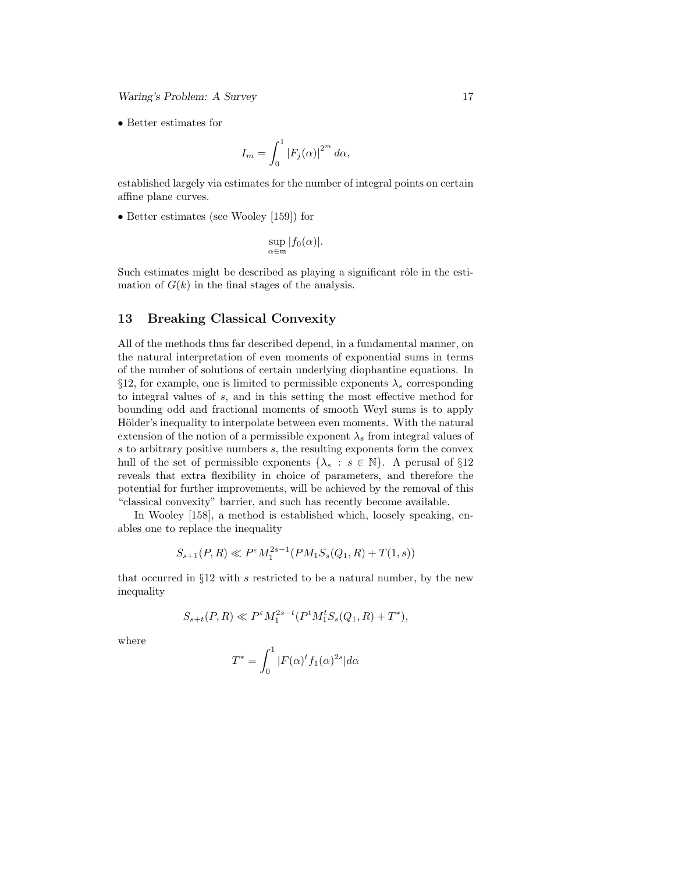Waring's Problem: A Survey 17

• Better estimates for

$$
I_m = \int_0^1 |F_j(\alpha)|^{2^m} d\alpha,
$$

established largely via estimates for the number of integral points on certain affine plane curves.

• Better estimates (see Wooley [159]) for

$$
\sup_{\alpha \in \mathfrak{m}} |f_0(\alpha)|.
$$

Such estimates might be described as playing a significant rôle in the estimation of  $G(k)$  in the final stages of the analysis.

### 13 Breaking Classical Convexity

All of the methods thus far described depend, in a fundamental manner, on the natural interpretation of even moments of exponential sums in terms of the number of solutions of certain underlying diophantine equations. In §12, for example, one is limited to permissible exponents  $\lambda_s$  corresponding to integral values of s, and in this setting the most effective method for bounding odd and fractional moments of smooth Weyl sums is to apply Hölder's inequality to interpolate between even moments. With the natural extension of the notion of a permissible exponent  $\lambda_s$  from integral values of s to arbitrary positive numbers s, the resulting exponents form the convex hull of the set of permissible exponents  $\{\lambda_s : s \in \mathbb{N}\}\$ . A perusal of  $\S12$ reveals that extra flexibility in choice of parameters, and therefore the potential for further improvements, will be achieved by the removal of this "classical convexity" barrier, and such has recently become available.

In Wooley [158], a method is established which, loosely speaking, enables one to replace the inequality

$$
S_{s+1}(P,R)\ll P^{\varepsilon}M_1^{2s-1}(PM_1S_s(Q_1,R)+T(1,s))
$$

that occurred in  $\S 12$  with s restricted to be a natural number, by the new inequality

$$
S_{s+t}(P,R) \ll P^{\varepsilon} M_1^{2s-t}(P^t M_1^t S_s(Q_1,R)+T^*),
$$

where

$$
T^* = \int_0^1 |F(\alpha)^t f_1(\alpha)^{2s}| d\alpha
$$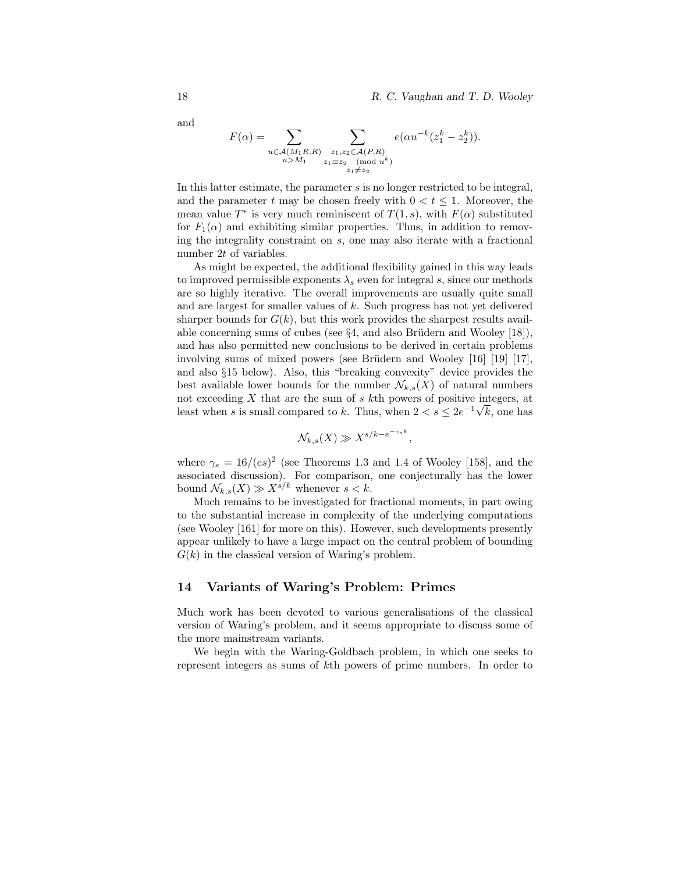and

$$
F(\alpha) = \sum_{\substack{u \in \mathcal{A}(M_1R, R) \\ u > M_1}} \sum_{\substack{z_1, z_2 \in \mathcal{A}(P, R) \\ z_1 \equiv z_2 \pmod{u^k} \\ z_1 \neq z_2}} e(\alpha u^{-k}(z_1^k - z_2^k)).
$$

In this latter estimate, the parameter  $s$  is no longer restricted to be integral, and the parameter t may be chosen freely with  $0 < t < 1$ . Moreover, the mean value  $T^*$  is very much reminiscent of  $T(1, s)$ , with  $F(\alpha)$  substituted for  $F_1(\alpha)$  and exhibiting similar properties. Thus, in addition to removing the integrality constraint on s, one may also iterate with a fractional number 2t of variables.

As might be expected, the additional flexibility gained in this way leads to improved permissible exponents  $\lambda_s$  even for integral s, since our methods are so highly iterative. The overall improvements are usually quite small and are largest for smaller values of k. Such progress has not yet delivered sharper bounds for  $G(k)$ , but this work provides the sharpest results available concerning sums of cubes (see  $\S 4$ , and also Brüdern and Wooley [18]), and has also permitted new conclusions to be derived in certain problems involving sums of mixed powers (see Brüdern and Wooley  $\left[16\right]$   $\left[19\right]$   $\left[17\right]$ , and also §15 below). Also, this "breaking convexity" device provides the best available lower bounds for the number  $\mathcal{N}_{k,s}(X)$  of natural numbers not exceeding  $X$  that are the sum of  $s$   $k$ th powers of positive integers, at least when s is small compared to k. Thus, when  $2 < s \leq 2e^{-1}\sqrt{k}$ , one has

$$
\mathcal{N}_{k,s}(X) \gg X^{s/k - e^{-\gamma_s k}},
$$

where  $\gamma_s = 16/(es)^2$  (see Theorems 1.3 and 1.4 of Wooley [158], and the associated discussion). For comparison, one conjecturally has the lower bound  $\mathcal{N}_{k,s}(X) \gg X^{s/k}$  whenever  $s < k$ .

Much remains to be investigated for fractional moments, in part owing to the substantial increase in complexity of the underlying computations (see Wooley [161] for more on this). However, such developments presently appear unlikely to have a large impact on the central problem of bounding  $G(k)$  in the classical version of Waring's problem.

### 14 Variants of Waring's Problem: Primes

Much work has been devoted to various generalisations of the classical version of Waring's problem, and it seems appropriate to discuss some of the more mainstream variants.

We begin with the Waring-Goldbach problem, in which one seeks to represent integers as sums of kth powers of prime numbers. In order to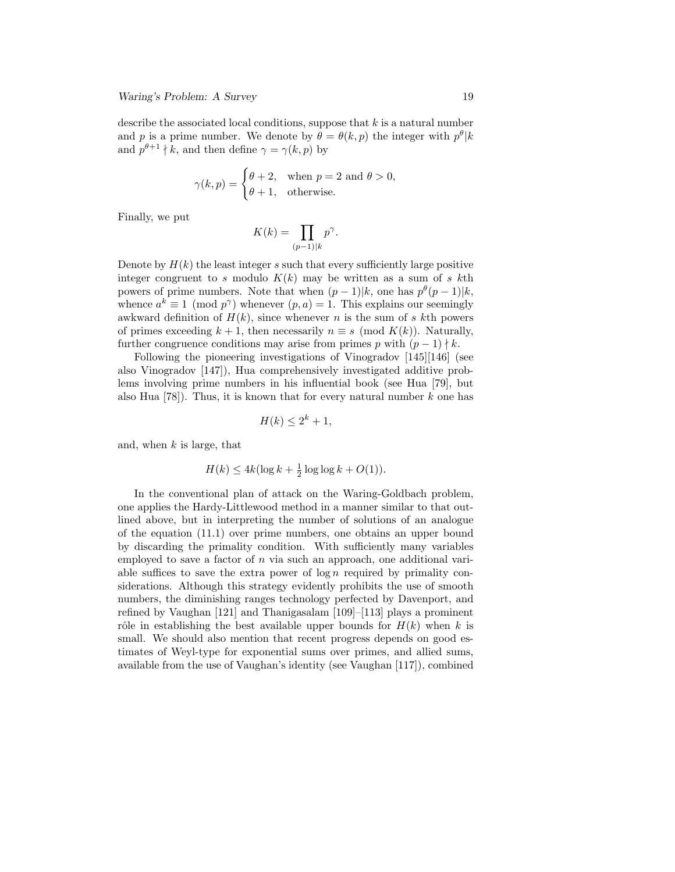describe the associated local conditions, suppose that  $k$  is a natural number and p is a prime number. We denote by  $\theta = \theta(k, p)$  the integer with  $p^{\theta} | k$ and  $p^{\theta+1} \nmid k$ , and then define  $\gamma = \gamma(k, p)$  by

$$
\gamma(k, p) = \begin{cases} \theta + 2, & \text{when } p = 2 \text{ and } \theta > 0, \\ \theta + 1, & \text{otherwise.} \end{cases}
$$

Finally, we put

$$
K(k) = \prod_{(p-1)|k} p^{\gamma}
$$

.

Denote by  $H(k)$  the least integer s such that every sufficiently large positive integer congruent to s modulo  $K(k)$  may be written as a sum of s kth powers of prime numbers. Note that when  $(p-1)|k$ , one has  $p^{\theta}(p-1)|k$ , whence  $a^k \equiv 1 \pmod{p^{\gamma}}$  whenever  $(p, a) = 1$ . This explains our seemingly awkward definition of  $H(k)$ , since whenever n is the sum of s kth powers of primes exceeding  $k + 1$ , then necessarily  $n \equiv s \pmod{K(k)}$ . Naturally, further congruence conditions may arise from primes p with  $(p-1) \nmid k$ .

Following the pioneering investigations of Vinogradov [145][146] (see also Vinogradov [147]), Hua comprehensively investigated additive problems involving prime numbers in his influential book (see Hua [79], but also Hua  $|78|$ . Thus, it is known that for every natural number k one has

$$
H(k) \le 2^k + 1,
$$

and, when  $k$  is large, that

$$
H(k) \le 4k(\log k + \frac{1}{2}\log\log k + O(1)).
$$

In the conventional plan of attack on the Waring-Goldbach problem, one applies the Hardy-Littlewood method in a manner similar to that outlined above, but in interpreting the number of solutions of an analogue of the equation (11.1) over prime numbers, one obtains an upper bound by discarding the primality condition. With sufficiently many variables employed to save a factor of  $n$  via such an approach, one additional variable suffices to save the extra power of  $\log n$  required by primality considerations. Although this strategy evidently prohibits the use of smooth numbers, the diminishing ranges technology perfected by Davenport, and refined by Vaughan [121] and Thanigasalam [109]–[113] plays a prominent rôle in establishing the best available upper bounds for  $H(k)$  when k is small. We should also mention that recent progress depends on good estimates of Weyl-type for exponential sums over primes, and allied sums, available from the use of Vaughan's identity (see Vaughan [117]), combined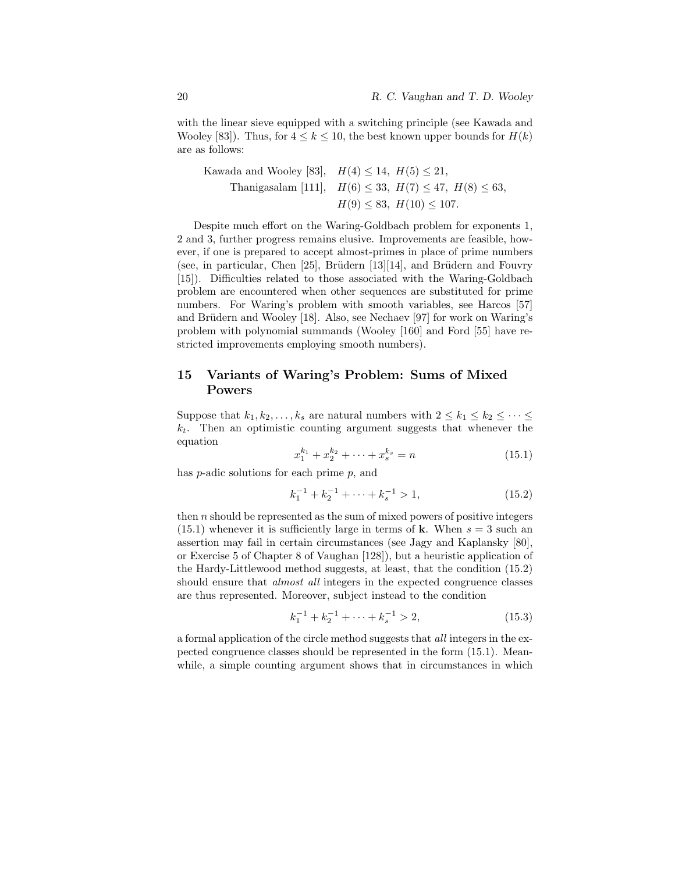with the linear sieve equipped with a switching principle (see Kawada and Wooley [83]). Thus, for  $4 \leq k \leq 10$ , the best known upper bounds for  $H(k)$ are as follows:

Kawada and Wooley [83],  $H(4) \le 14$ ,  $H(5) \le 21$ , Thanigasalam [111],  $H(6) \leq 33$ ,  $H(7) \leq 47$ ,  $H(8) \leq 63$ ,  $H(9) \leq 83$ ,  $H(10) \leq 107$ .

Despite much effort on the Waring-Goldbach problem for exponents 1, 2 and 3, further progress remains elusive. Improvements are feasible, however, if one is prepared to accept almost-primes in place of prime numbers (see, in particular, Chen  $[25]$ , Brüdern  $[13][14]$ , and Brüdern and Fouvry [15]). Difficulties related to those associated with the Waring-Goldbach problem are encountered when other sequences are substituted for prime numbers. For Waring's problem with smooth variables, see Harcos [57] and Brüdern and Wooley [18]. Also, see Nechaev [97] for work on Waring's problem with polynomial summands (Wooley [160] and Ford [55] have restricted improvements employing smooth numbers).

# 15 Variants of Waring's Problem: Sums of Mixed Powers

Suppose that  $k_1, k_2, \ldots, k_s$  are natural numbers with  $2 \leq k_1 \leq k_2 \leq \cdots \leq$  $k_t$ . Then an optimistic counting argument suggests that whenever the equation

$$
x_1^{k_1} + x_2^{k_2} + \dots + x_s^{k_s} = n \tag{15.1}
$$

has  $p$ -adic solutions for each prime  $p$ , and

$$
k_1^{-1} + k_2^{-1} + \dots + k_s^{-1} > 1,\tag{15.2}
$$

then n should be represented as the sum of mixed powers of positive integers  $(15.1)$  whenever it is sufficiently large in terms of **k**. When  $s = 3$  such an assertion may fail in certain circumstances (see Jagy and Kaplansky [80], or Exercise 5 of Chapter 8 of Vaughan [128]), but a heuristic application of the Hardy-Littlewood method suggests, at least, that the condition (15.2) should ensure that *almost all* integers in the expected congruence classes are thus represented. Moreover, subject instead to the condition

$$
k_1^{-1} + k_2^{-1} + \dots + k_s^{-1} > 2,\t\t(15.3)
$$

a formal application of the circle method suggests that all integers in the expected congruence classes should be represented in the form (15.1). Meanwhile, a simple counting argument shows that in circumstances in which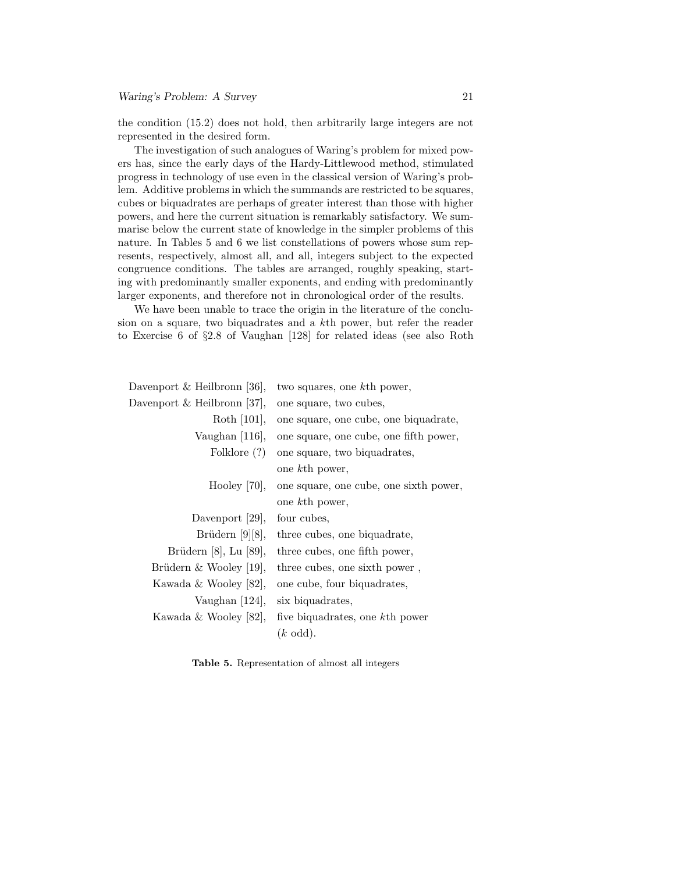the condition (15.2) does not hold, then arbitrarily large integers are not represented in the desired form.

The investigation of such analogues of Waring's problem for mixed powers has, since the early days of the Hardy-Littlewood method, stimulated progress in technology of use even in the classical version of Waring's problem. Additive problems in which the summands are restricted to be squares, cubes or biquadrates are perhaps of greater interest than those with higher powers, and here the current situation is remarkably satisfactory. We summarise below the current state of knowledge in the simpler problems of this nature. In Tables 5 and 6 we list constellations of powers whose sum represents, respectively, almost all, and all, integers subject to the expected congruence conditions. The tables are arranged, roughly speaking, starting with predominantly smaller exponents, and ending with predominantly larger exponents, and therefore not in chronological order of the results.

We have been unable to trace the origin in the literature of the conclusion on a square, two biquadrates and a kth power, but refer the reader to Exercise 6 of §2.8 of Vaughan [128] for related ideas (see also Roth

| Davenport & Heilbronn [36], | two squares, one kth power,            |
|-----------------------------|----------------------------------------|
| Davenport & Heilbronn [37], | one square, two cubes,                 |
| Roth $[101]$ ,              | one square, one cube, one biquadrate,  |
| Vaughan $[116]$ ,           | one square, one cube, one fifth power, |
| Folklore (?)                | one square, two biquadrates,           |
|                             | one kth power,                         |
| Hooley $[70]$ ,             | one square, one cube, one sixth power, |
|                             | one kth power,                         |
| Davenport [29],             | four cubes,                            |
| Brüdern $[9][8]$ ,          | three cubes, one biquadrate,           |
| Brüdern [8], Lu [89],       | three cubes, one fifth power,          |
| Brüdern & Wooley [19],      | three cubes, one sixth power,          |
| Kawada & Wooley [82],       | one cube, four biquadrates,            |
| Vaughan $[124]$ ,           | six biquadrates,                       |
| Kawada & Wooley [82],       | five biquadrates, one kth power        |
|                             | $(k \text{ odd}).$                     |

Table 5. Representation of almost all integers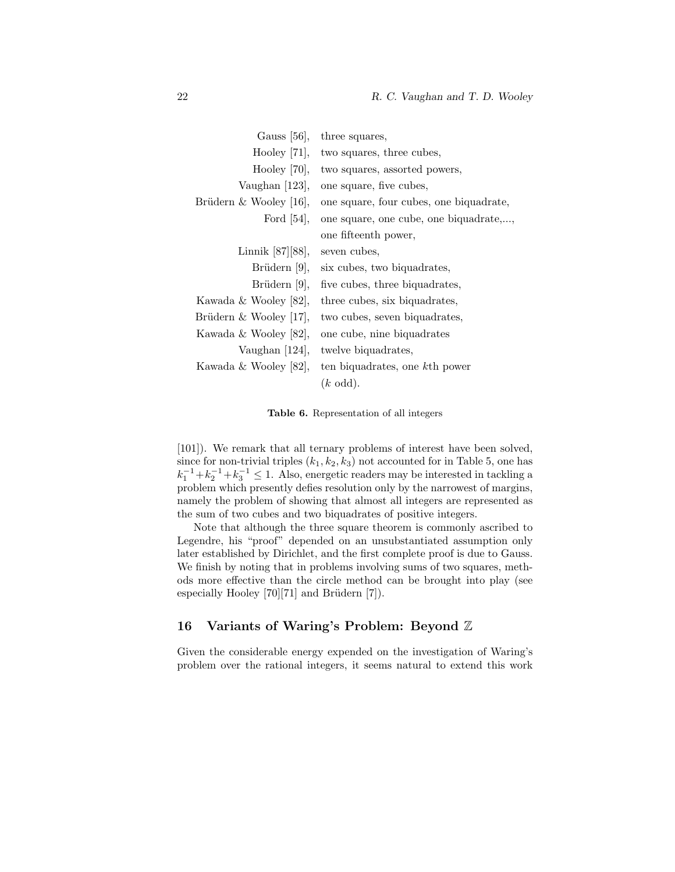| three squares,                          |
|-----------------------------------------|
| two squares, three cubes,               |
| two squares, assorted powers,           |
| one square, five cubes,                 |
| one square, four cubes, one biquadrate, |
| one square, one cube, one biquadrate,   |
| one fifteenth power,                    |
| seven cubes,                            |
| six cubes, two biquadrates,             |
| five cubes, three biquadrates,          |
| three cubes, six biquadrates,           |
| two cubes, seven biquadrates,           |
| one cube, nine biquadrates              |
| twelve biquadrates,                     |
| ten biquadrates, one kth power          |
| $(k \text{ odd}).$                      |
|                                         |

Table 6. Representation of all integers

[101]). We remark that all ternary problems of interest have been solved, since for non-trivial triples  $(k_1, k_2, k_3)$  not accounted for in Table 5, one has  $k_1^{-1} + k_2^{-1} + k_3^{-1} \leq 1$ . Also, energetic readers may be interested in tackling a problem which presently defies resolution only by the narrowest of margins, namely the problem of showing that almost all integers are represented as the sum of two cubes and two biquadrates of positive integers.

Note that although the three square theorem is commonly ascribed to Legendre, his "proof" depended on an unsubstantiated assumption only later established by Dirichlet, and the first complete proof is due to Gauss. We finish by noting that in problems involving sums of two squares, methods more effective than the circle method can be brought into play (see especially Hooley  $[70][71]$  and Brüdern  $[7]$ ).

### 16 Variants of Waring's Problem: Beyond Z

Given the considerable energy expended on the investigation of Waring's problem over the rational integers, it seems natural to extend this work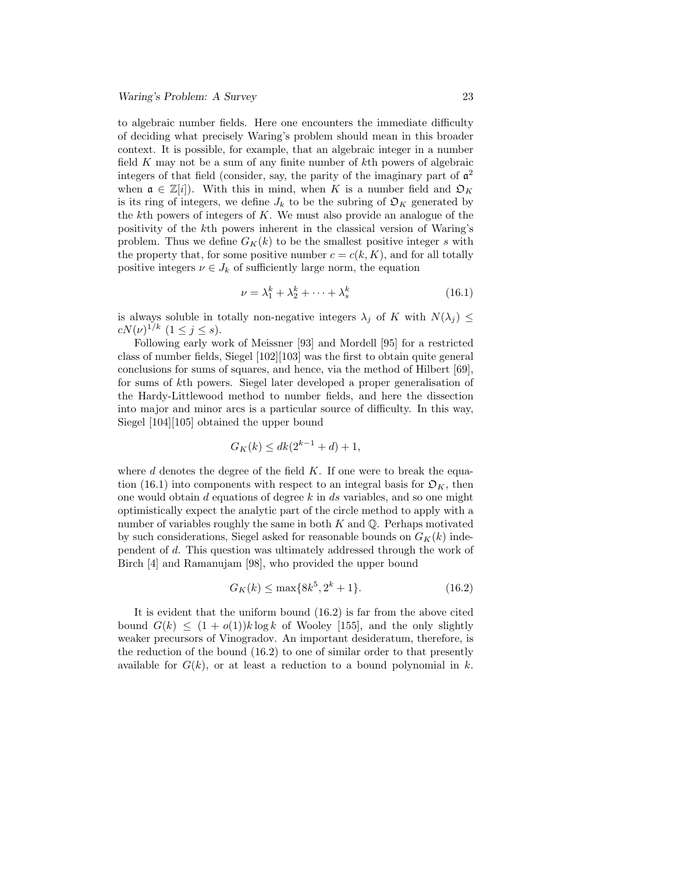to algebraic number fields. Here one encounters the immediate difficulty of deciding what precisely Waring's problem should mean in this broader context. It is possible, for example, that an algebraic integer in a number field K may not be a sum of any finite number of kth powers of algebraic integers of that field (consider, say, the parity of the imaginary part of  $a<sup>2</sup>$ when  $\mathfrak{a} \in \mathbb{Z}[i]$ . With this in mind, when K is a number field and  $\mathfrak{O}_K$ is its ring of integers, we define  $J_k$  to be the subring of  $\mathfrak{O}_K$  generated by the  $k$ th powers of integers of  $K$ . We must also provide an analogue of the positivity of the kth powers inherent in the classical version of Waring's problem. Thus we define  $G_K(k)$  to be the smallest positive integer s with the property that, for some positive number  $c = c(k, K)$ , and for all totally positive integers  $\nu \in J_k$  of sufficiently large norm, the equation

$$
\nu = \lambda_1^k + \lambda_2^k + \dots + \lambda_s^k \tag{16.1}
$$

is always soluble in totally non-negative integers  $\lambda_j$  of K with  $N(\lambda_j) \leq$  $cN(\nu)^{1/k}$   $(1 \leq j \leq s).$ 

Following early work of Meissner [93] and Mordell [95] for a restricted class of number fields, Siegel [102][103] was the first to obtain quite general conclusions for sums of squares, and hence, via the method of Hilbert [69], for sums of kth powers. Siegel later developed a proper generalisation of the Hardy-Littlewood method to number fields, and here the dissection into major and minor arcs is a particular source of difficulty. In this way, Siegel [104][105] obtained the upper bound

$$
G_K(k) \le dk(2^{k-1} + d) + 1,
$$

where  $d$  denotes the degree of the field  $K$ . If one were to break the equation (16.1) into components with respect to an integral basis for  $\mathfrak{O}_K$ , then one would obtain  $d$  equations of degree  $k$  in  $ds$  variables, and so one might optimistically expect the analytic part of the circle method to apply with a number of variables roughly the same in both  $K$  and  $\mathbb{Q}$ . Perhaps motivated by such considerations, Siegel asked for reasonable bounds on  $G_K(k)$  independent of d. This question was ultimately addressed through the work of Birch [4] and Ramanujam [98], who provided the upper bound

$$
G_K(k) \le \max\{8k^5, 2^k + 1\}.\tag{16.2}
$$

It is evident that the uniform bound (16.2) is far from the above cited bound  $G(k) \leq (1 + o(1))k \log k$  of Wooley [155], and the only slightly weaker precursors of Vinogradov. An important desideratum, therefore, is the reduction of the bound (16.2) to one of similar order to that presently available for  $G(k)$ , or at least a reduction to a bound polynomial in k.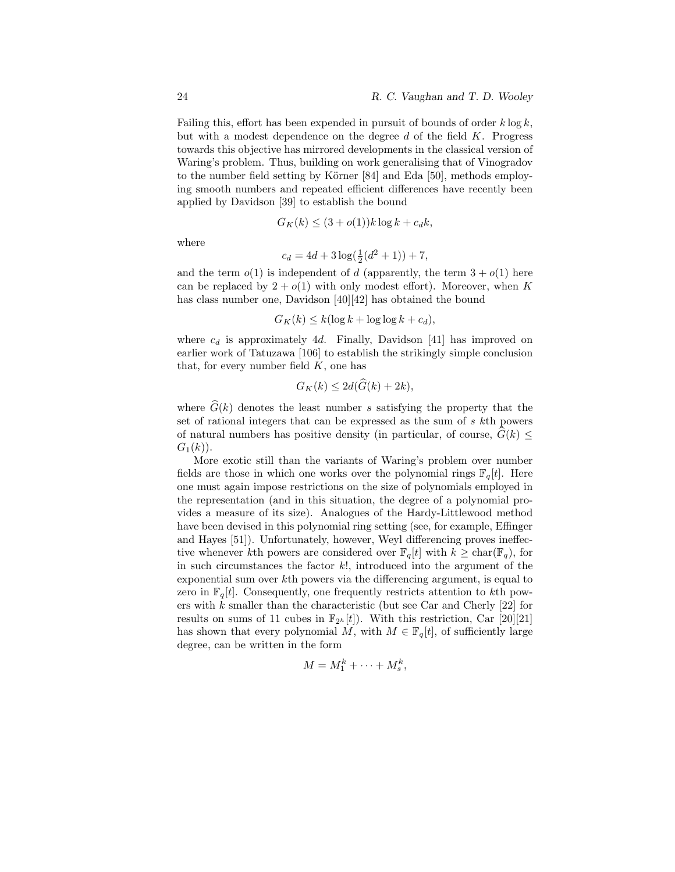Failing this, effort has been expended in pursuit of bounds of order  $k \log k$ , but with a modest dependence on the degree d of the field  $K$ . Progress towards this objective has mirrored developments in the classical version of Waring's problem. Thus, building on work generalising that of Vinogradov to the number field setting by Körner  $[84]$  and Eda  $[50]$ , methods employing smooth numbers and repeated efficient differences have recently been applied by Davidson [39] to establish the bound

$$
G_K(k) \le (3 + o(1))k \log k + c_d k,
$$

where

$$
c_d = 4d + 3\log(\frac{1}{2}(d^2+1)) + 7,
$$

and the term  $o(1)$  is independent of d (apparently, the term  $3 + o(1)$  here can be replaced by  $2 + o(1)$  with only modest effort). Moreover, when K has class number one, Davidson [40][42] has obtained the bound

$$
G_K(k) \le k(\log k + \log \log k + c_d),
$$

where  $c_d$  is approximately 4d. Finally, Davidson [41] has improved on earlier work of Tatuzawa [106] to establish the strikingly simple conclusion that, for every number field  $K$ , one has

$$
G_K(k) \le 2d(\widehat{G}(k) + 2k),
$$

where  $\widehat{G}(k)$  denotes the least number s satisfying the property that the set of rational integers that can be expressed as the sum of s kth powers of natural numbers has positive density (in particular, of course,  $G(k) \leq$  $G_1(k)$ ).

More exotic still than the variants of Waring's problem over number fields are those in which one works over the polynomial rings  $\mathbb{F}_q[t]$ . Here one must again impose restrictions on the size of polynomials employed in the representation (and in this situation, the degree of a polynomial provides a measure of its size). Analogues of the Hardy-Littlewood method have been devised in this polynomial ring setting (see, for example, Effinger and Hayes [51]). Unfortunately, however, Weyl differencing proves ineffective whenever kth powers are considered over  $\mathbb{F}_q[t]$  with  $k \geq \text{char}(\mathbb{F}_q)$ , for in such circumstances the factor  $k!$ , introduced into the argument of the exponential sum over kth powers via the differencing argument, is equal to zero in  $\mathbb{F}_q[t]$ . Consequently, one frequently restricts attention to kth powers with  $k$  smaller than the characteristic (but see Car and Cherly [22] for results on sums of 11 cubes in  $\mathbb{F}_{2^h}[t]$ . With this restriction, Car [20][21] has shown that every polynomial M, with  $M \in \mathbb{F}_q[t]$ , of sufficiently large degree, can be written in the form

$$
M = M_1^k + \dots + M_s^k,
$$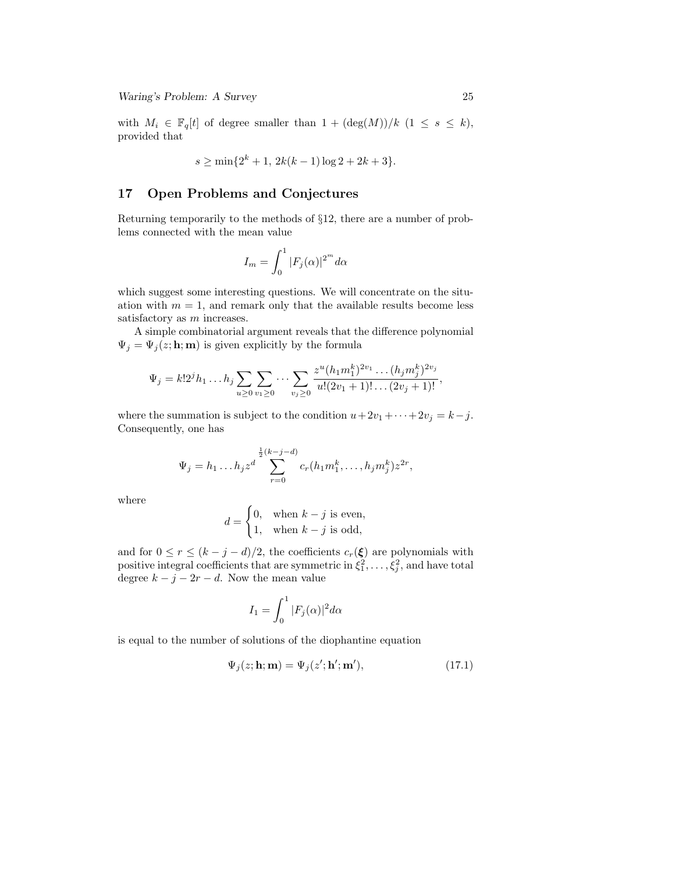with  $M_i \in \mathbb{F}_q[t]$  of degree smaller than  $1 + (\deg(M))/k$   $(1 \leq s \leq k)$ , provided that

$$
s \ge \min\{2^k + 1, 2k(k-1)\log 2 + 2k + 3\}.
$$

## 17 Open Problems and Conjectures

Returning temporarily to the methods of §12, there are a number of problems connected with the mean value

$$
I_m = \int_0^1 |F_j(\alpha)|^{2^m} d\alpha
$$

which suggest some interesting questions. We will concentrate on the situation with  $m = 1$ , and remark only that the available results become less satisfactory as m increases.

A simple combinatorial argument reveals that the difference polynomial  $\Psi_j = \Psi_j(z; \mathbf{h}; \mathbf{m})$  is given explicitly by the formula

$$
\Psi_j = k!2^j h_1 \dots h_j \sum_{u \ge 0} \sum_{v_1 \ge 0} \dots \sum_{v_j \ge 0} \frac{z^u (h_1 m_1^k)^{2v_1} \dots (h_j m_j^k)^{2v_j}}{u!(2v_1+1)!\dots (2v_j+1)!},
$$

where the summation is subject to the condition  $u+2v_1+\cdots+2v_j = k-j$ . Consequently, one has

$$
\Psi_j = h_1 \dots h_j z^d \sum_{r=0}^{\frac{1}{2}(k-j-d)} c_r (h_1 m_1^k, \dots, h_j m_j^k) z^{2r},
$$

where

$$
d = \begin{cases} 0, & \text{when } k - j \text{ is even,} \\ 1, & \text{when } k - j \text{ is odd,} \end{cases}
$$

and for  $0 \le r \le (k - j - d)/2$ , the coefficients  $c_r(\xi)$  are polynomials with positive integral coefficients that are symmetric in  $\xi_1^2, \ldots, \xi_j^2$ , and have total degree  $k - j - 2r - d$ . Now the mean value

$$
I_1 = \int_0^1 |F_j(\alpha)|^2 d\alpha
$$

is equal to the number of solutions of the diophantine equation

$$
\Psi_j(z; \mathbf{h}; \mathbf{m}) = \Psi_j(z'; \mathbf{h}'; \mathbf{m}'),\tag{17.1}
$$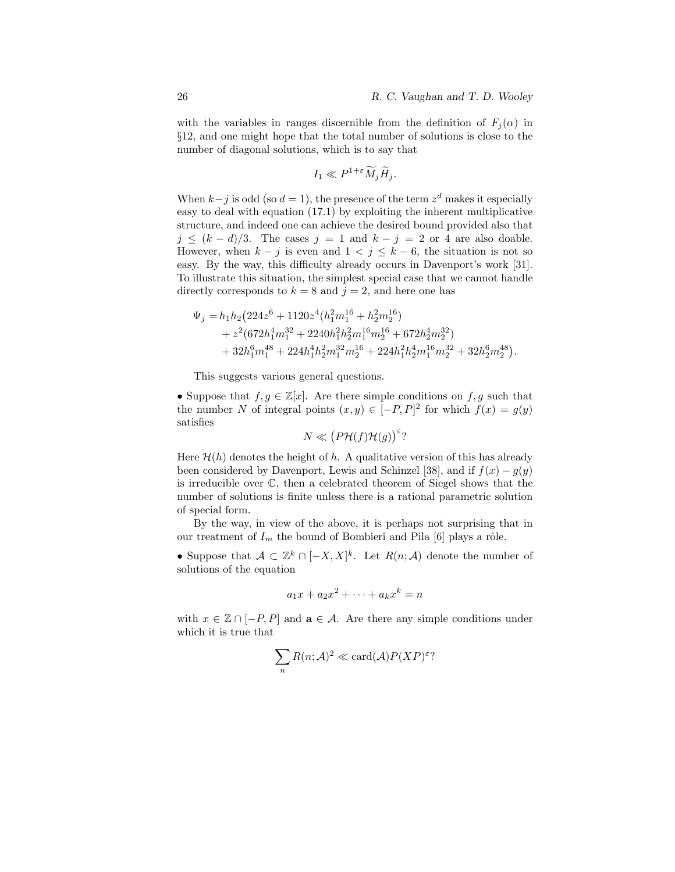with the variables in ranges discernible from the definition of  $F_i(\alpha)$  in §12, and one might hope that the total number of solutions is close to the number of diagonal solutions, which is to say that

$$
I_1 \ll P^{1+\varepsilon} \widetilde{M}_j \widetilde{H}_j.
$$

When  $k-j$  is odd (so  $d=1$ ), the presence of the term  $z<sup>d</sup>$  makes it especially easy to deal with equation (17.1) by exploiting the inherent multiplicative structure, and indeed one can achieve the desired bound provided also that  $j \leq (k - d)/3$ . The cases  $j = 1$  and  $k - j = 2$  or 4 are also doable. However, when  $k - j$  is even and  $1 < j \leq k - 6$ , the situation is not so easy. By the way, this difficulty already occurs in Davenport's work [31]. To illustrate this situation, the simplest special case that we cannot handle directly corresponds to  $k = 8$  and  $j = 2$ , and here one has

$$
\Psi_j = h_1 h_2 \left( 224 z^6 + 1120 z^4 (h_1^2 m_1^{16} + h_2^2 m_2^{16}) \right. \\
\left. + z^2 (672 h_1^4 m_1^{32} + 2240 h_1^2 h_2^2 m_1^{16} m_2^{16} + 672 h_2^4 m_2^{32}) \right. \\
\left. + 32 h_1^6 m_1^{48} + 224 h_1^4 h_2^2 m_1^{32} m_2^{16} + 224 h_1^2 h_2^4 m_1^{16} m_2^{32} + 32 h_2^6 m_2^{48} \right).
$$

This suggests various general questions.

• Suppose that  $f, g \in \mathbb{Z}[x]$ . Are there simple conditions on  $f, g$  such that the number N of integral points  $(x, y) \in [-P, P]^2$  for which  $f(x) = g(y)$ satisfies

$$
N \ll (P\mathcal{H}(f)\mathcal{H}(g))^{\varepsilon}
$$
?

Here  $\mathcal{H}(h)$  denotes the height of h. A qualitative version of this has already been considered by Davenport, Lewis and Schinzel [38], and if  $f(x) - q(y)$ is irreducible over C, then a celebrated theorem of Siegel shows that the number of solutions is finite unless there is a rational parametric solution of special form.

By the way, in view of the above, it is perhaps not surprising that in our treatment of  $I_m$  the bound of Bombieri and Pila [6] plays a rôle.

• Suppose that  $A \subset \mathbb{Z}^k \cap [-X,X]^k$ . Let  $R(n;\mathcal{A})$  denote the number of solutions of the equation

$$
a_1x + a_2x^2 + \dots + a_kx^k = n
$$

with  $x \in \mathbb{Z} \cap [-P, P]$  and  $\mathbf{a} \in \mathcal{A}$ . Are there any simple conditions under which it is true that

$$
\sum_n R(n; \mathcal{A})^2 \ll \text{card}(\mathcal{A}) P(XP)^{\varepsilon}?
$$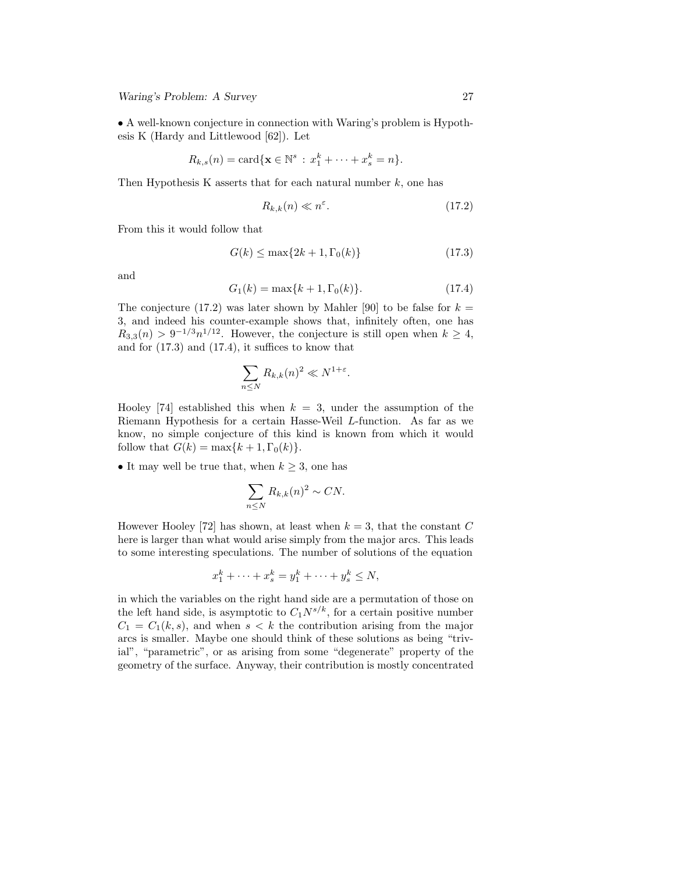• A well-known conjecture in connection with Waring's problem is Hypothesis K (Hardy and Littlewood [62]). Let

$$
R_{k,s}(n) = \text{card}\{\mathbf{x} \in \mathbb{N}^s : x_1^k + \cdots + x_s^k = n\}.
$$

Then Hypothesis K asserts that for each natural number  $k$ , one has

$$
R_{k,k}(n) \ll n^{\varepsilon}.\tag{17.2}
$$

From this it would follow that

$$
G(k) \le \max\{2k+1, \Gamma_0(k)\}\tag{17.3}
$$

and

$$
G_1(k) = \max\{k+1, \Gamma_0(k)\}.
$$
 (17.4)

The conjecture (17.2) was later shown by Mahler [90] to be false for  $k =$ 3, and indeed his counter-example shows that, infinitely often, one has  $R_{3,3}(n) > 9^{-1/3}n^{1/12}$ . However, the conjecture is still open when  $k \geq 4$ , and for (17.3) and (17.4), it suffices to know that

$$
\sum_{n\leq N} R_{k,k}(n)^2 \ll N^{1+\varepsilon}.
$$

Hooley [74] established this when  $k = 3$ , under the assumption of the Riemann Hypothesis for a certain Hasse-Weil L-function. As far as we know, no simple conjecture of this kind is known from which it would follow that  $G(k) = \max\{k+1, \Gamma_0(k)\}.$ 

• It may well be true that, when  $k \geq 3$ , one has

$$
\sum_{n\leq N} R_{k,k}(n)^2 \sim CN.
$$

However Hooley [72] has shown, at least when  $k = 3$ , that the constant C here is larger than what would arise simply from the major arcs. This leads to some interesting speculations. The number of solutions of the equation

$$
x_1^k + \dots + x_s^k = y_1^k + \dots + y_s^k \le N,
$$

in which the variables on the right hand side are a permutation of those on the left hand side, is asymptotic to  $C_1N^{s/k}$ , for a certain positive number  $C_1 = C_1(k, s)$ , and when  $s < k$  the contribution arising from the major arcs is smaller. Maybe one should think of these solutions as being "trivial", "parametric", or as arising from some "degenerate" property of the geometry of the surface. Anyway, their contribution is mostly concentrated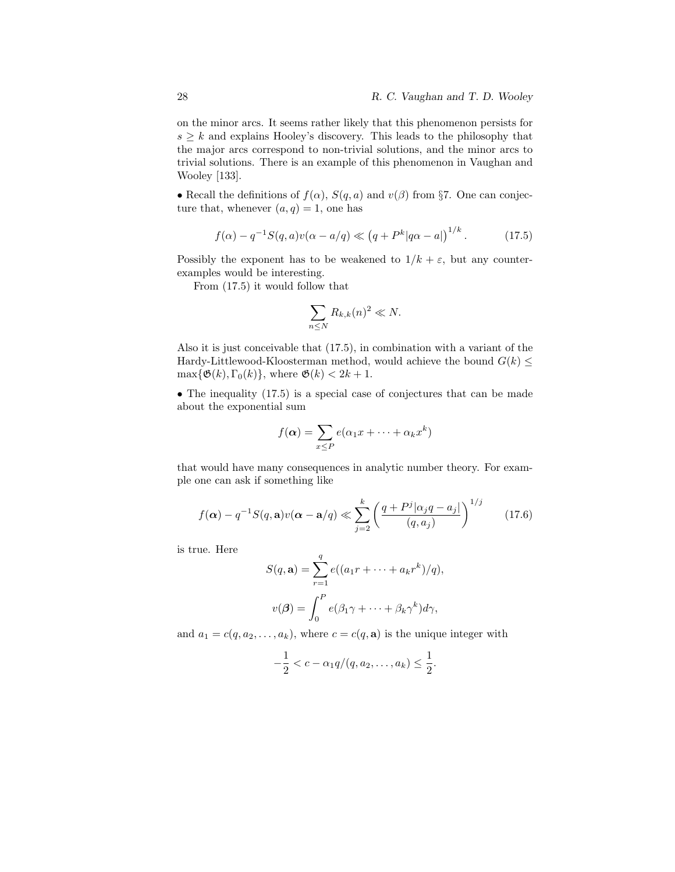on the minor arcs. It seems rather likely that this phenomenon persists for  $s \geq k$  and explains Hooley's discovery. This leads to the philosophy that the major arcs correspond to non-trivial solutions, and the minor arcs to trivial solutions. There is an example of this phenomenon in Vaughan and Wooley [133].

• Recall the definitions of  $f(\alpha)$ ,  $S(q, a)$  and  $v(\beta)$  from §7. One can conjecture that, whenever  $(a, q) = 1$ , one has

$$
f(\alpha) - q^{-1}S(q, a)v(\alpha - a/q) \ll (q + P^{k}|q\alpha - a|)^{1/k}.
$$
 (17.5)

Possibly the exponent has to be weakened to  $1/k + \varepsilon$ , but any counterexamples would be interesting.

From (17.5) it would follow that

$$
\sum_{n\leq N} R_{k,k}(n)^2 \ll N.
$$

Also it is just conceivable that (17.5), in combination with a variant of the Hardy-Littlewood-Kloosterman method, would achieve the bound  $G(k) \leq$  $\max{\{\mathfrak{G}(k),\Gamma_0(k)\}},$  where  $\mathfrak{G}(k) < 2k+1$ .

• The inequality (17.5) is a special case of conjectures that can be made about the exponential sum

$$
f(\boldsymbol{\alpha}) = \sum_{x \leq P} e(\alpha_1 x + \dots + \alpha_k x^k)
$$

that would have many consequences in analytic number theory. For example one can ask if something like

$$
f(\boldsymbol{\alpha}) - q^{-1}S(q, \mathbf{a})v(\boldsymbol{\alpha} - \mathbf{a}/q) \ll \sum_{j=2}^{k} \left( \frac{q + P^j |\alpha_j q - a_j|}{(q, a_j)} \right)^{1/j}
$$
 (17.6)

is true. Here

$$
S(q, \mathbf{a}) = \sum_{r=1}^{q} e((a_1r + \dots + a_kr^k)/q),
$$

$$
v(\boldsymbol{\beta}) = \int_0^P e(\beta_1\gamma + \dots + \beta_k\gamma^k)d\gamma,
$$

and  $a_1 = c(q, a_2, \dots, a_k)$ , where  $c = c(q, \mathbf{a})$  is the unique integer with

$$
-\frac{1}{2} < c - \alpha_1 q/(q, a_2, \dots, a_k) \leq \frac{1}{2}.
$$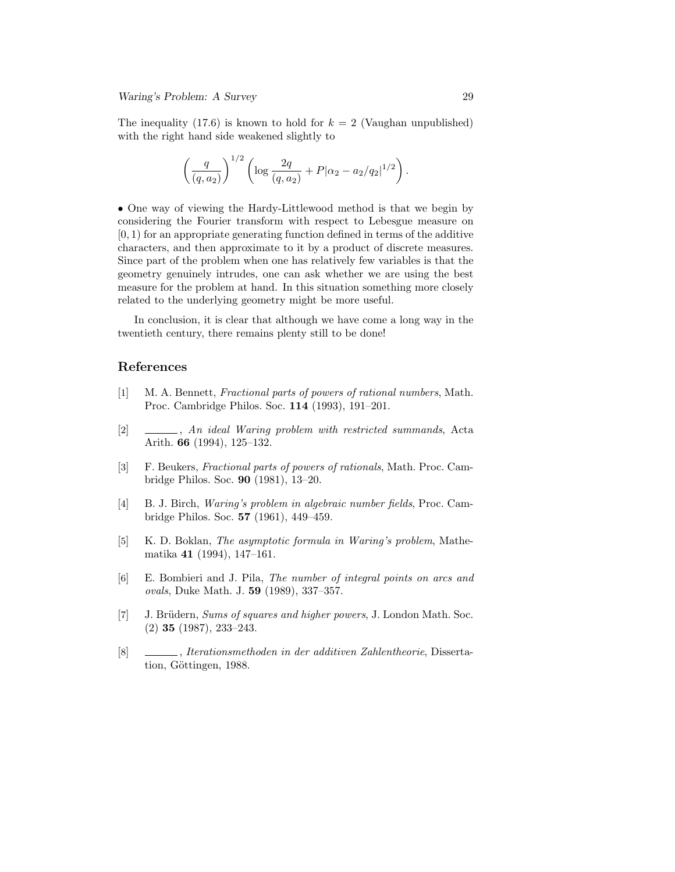The inequality (17.6) is known to hold for  $k = 2$  (Vaughan unpublished) with the right hand side weakened slightly to

$$
\left(\frac{q}{(q,a_2)}\right)^{1/2} \left(\log \frac{2q}{(q,a_2)} + P|\alpha_2 - a_2/q_2|^{1/2}\right)
$$

• One way of viewing the Hardy-Littlewood method is that we begin by considering the Fourier transform with respect to Lebesgue measure on  $[0, 1)$  for an appropriate generating function defined in terms of the additive characters, and then approximate to it by a product of discrete measures. Since part of the problem when one has relatively few variables is that the geometry genuinely intrudes, one can ask whether we are using the best measure for the problem at hand. In this situation something more closely related to the underlying geometry might be more useful.

In conclusion, it is clear that although we have come a long way in the twentieth century, there remains plenty still to be done!

#### References

- [1] M. A. Bennett, Fractional parts of powers of rational numbers, Math. Proc. Cambridge Philos. Soc. 114 (1993), 191–201.
- [2] , An ideal Waring problem with restricted summands, Acta Arith. 66 (1994), 125–132.
- [3] F. Beukers, Fractional parts of powers of rationals, Math. Proc. Cambridge Philos. Soc. 90 (1981), 13–20.
- [4] B. J. Birch, Waring's problem in algebraic number fields, Proc. Cambridge Philos. Soc. 57 (1961), 449–459.
- [5] K. D. Boklan, The asymptotic formula in Waring's problem, Mathematika 41 (1994), 147–161.
- [6] E. Bombieri and J. Pila, The number of integral points on arcs and ovals, Duke Math. J. 59 (1989), 337–357.
- [7] J. Brüdern, Sums of squares and higher powers, J. London Math. Soc. (2) 35 (1987), 233–243.
- [8] , Iterationsmethoden in der additiven Zahlentheorie, Dissertation, Göttingen, 1988.

.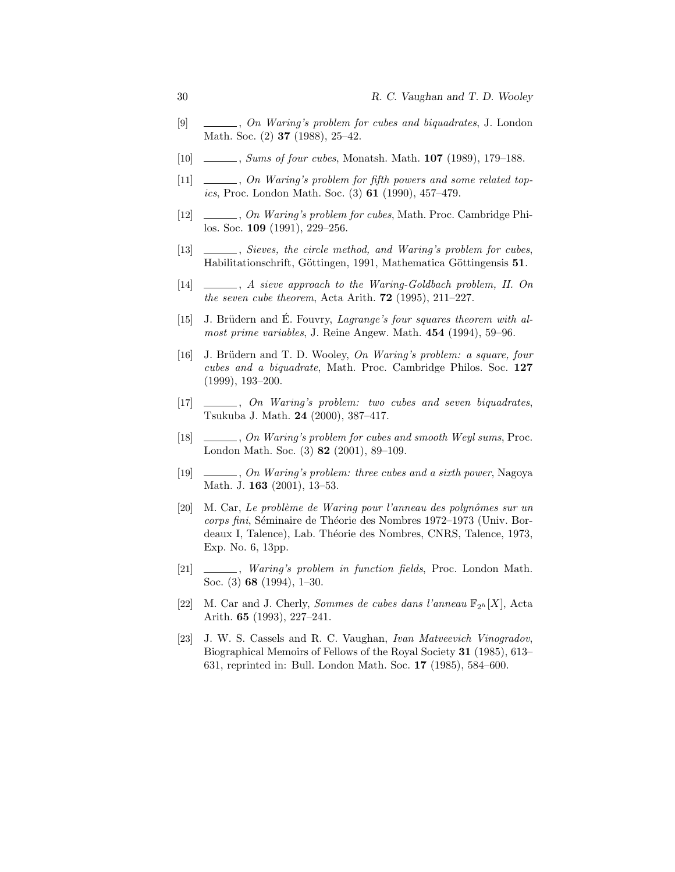- [9] , On Waring's problem for cubes and biquadrates, J. London Math. Soc. (2) **37** (1988), 25–42.
- [10] , Sums of four cubes, Monatsh. Math. **107** (1989), 179–188.
- [11]  $\_\_\_\_\_\_$ , On Waring's problem for fifth powers and some related topics, Proc. London Math. Soc. (3) 61 (1990), 457–479.
- [12]  $\_\_\_\_\_$ , On Waring's problem for cubes, Math. Proc. Cambridge Philos. Soc. 109 (1991), 229–256.
- [13]  $\_\_\_\_\_\_\$ , Sieves, the circle method, and Waring's problem for cubes, Habilitationschrift, Göttingen, 1991, Mathematica Göttingensis 51.
- [14]  $\_\_\_\_\_\_$ , A sieve approach to the Waring-Goldbach problem, II. On the seven cube theorem, Acta Arith.  $72$  (1995), 211–227.
- [15] J. Brüdern and É. Fouvry, *Lagrange's four squares theorem with al*most prime variables, J. Reine Angew. Math. 454 (1994), 59–96.
- [16] J. Brüdern and T. D. Wooley, On Waring's problem: a square, four cubes and a biquadrate, Math. Proc. Cambridge Philos. Soc. 127 (1999), 193–200.
- [17] , On Waring's problem: two cubes and seven biquadrates, Tsukuba J. Math. 24 (2000), 387–417.
- [18] , On Waring's problem for cubes and smooth Weyl sums, Proc. London Math. Soc. (3) 82 (2001), 89–109.
- [19] , On Waring's problem: three cubes and a sixth power, Nagoya Math. J. **163** (2001), 13-53.
- [20] M. Car, Le problème de Waring pour l'anneau des polynômes sur un corps fini, Séminaire de Théorie des Nombres 1972–1973 (Univ. Bordeaux I, Talence), Lab. Théorie des Nombres, CNRS, Talence, 1973, Exp. No. 6, 13pp.
- [21] , *Waring's problem in function fields*, Proc. London Math. Soc. (3) 68 (1994), 1–30.
- [22] M. Car and J. Cherly, *Sommes de cubes dans l'anneau*  $\mathbb{F}_{2h}[X]$ , Acta Arith. 65 (1993), 227–241.
- [23] J. W. S. Cassels and R. C. Vaughan, Ivan Matveevich Vinogradov, Biographical Memoirs of Fellows of the Royal Society 31 (1985), 613– 631, reprinted in: Bull. London Math. Soc. 17 (1985), 584–600.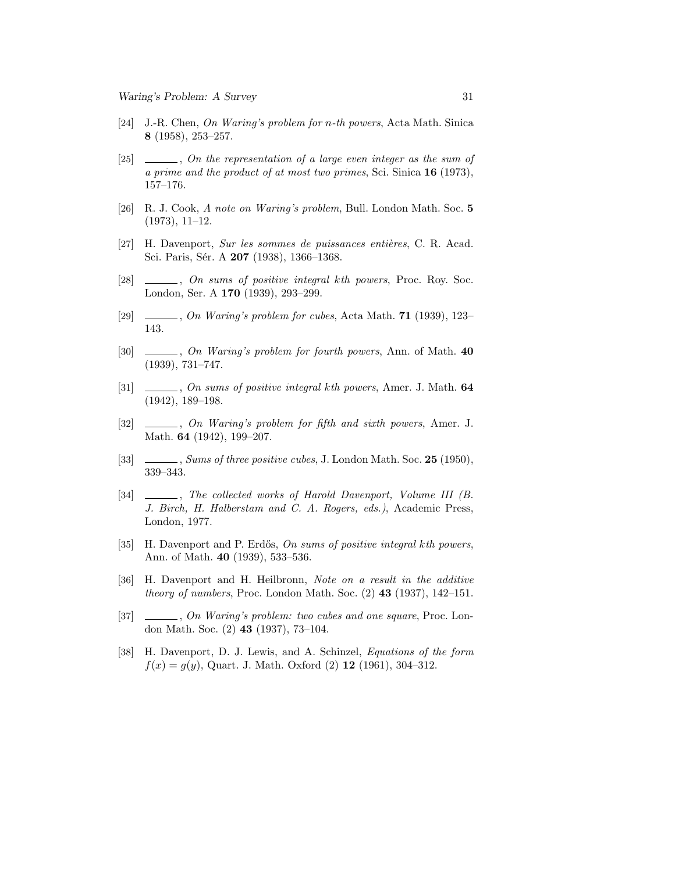- [24] J.-R. Chen, On Waring's problem for n-th powers, Acta Math. Sinica 8 (1958), 253–257.
- [25]  $\Box$ , On the representation of a large even integer as the sum of a prime and the product of at most two primes, Sci. Sinica 16 (1973), 157–176.
- [26] R. J. Cook, A note on Waring's problem, Bull. London Math. Soc. 5 (1973), 11–12.
- [27] H. Davenport, Sur les sommes de puissances entières, C. R. Acad. Sci. Paris, Sér. A 207 (1938), 1366-1368.
- [28]  $\Box$ , On sums of positive integral kth powers, Proc. Roy. Soc. London, Ser. A 170 (1939), 293–299.
- [29] , On Waring's problem for cubes, Acta Math. **71** (1939), 123– 143.
- [30] , On Waring's problem for fourth powers, Ann. of Math. 40 (1939), 731–747.
- [31]  $\_\_\_\_\_\_$ , On sums of positive integral kth powers, Amer. J. Math. 64 (1942), 189–198.
- [32] , On Waring's problem for fifth and sixth powers, Amer. J. Math. 64 (1942), 199–207.
- [33] , Sums of three positive cubes, J. London Math. Soc. 25 (1950), 339–343.
- [34] , The collected works of Harold Davenport, Volume III (B. J. Birch, H. Halberstam and C. A. Rogers, eds.), Academic Press, London, 1977.
- [35] H. Davenport and P. Erdős, On sums of positive integral kth powers, Ann. of Math. 40 (1939), 533–536.
- [36] H. Davenport and H. Heilbronn, Note on a result in the additive *theory of numbers*, Proc. London Math. Soc.  $(2)$  43  $(1937)$ , 142–151.
- [37] , On Waring's problem: two cubes and one square, Proc. London Math. Soc. (2) 43 (1937), 73–104.
- [38] H. Davenport, D. J. Lewis, and A. Schinzel, Equations of the form  $f(x) = g(y)$ , Quart. J. Math. Oxford (2) 12 (1961), 304-312.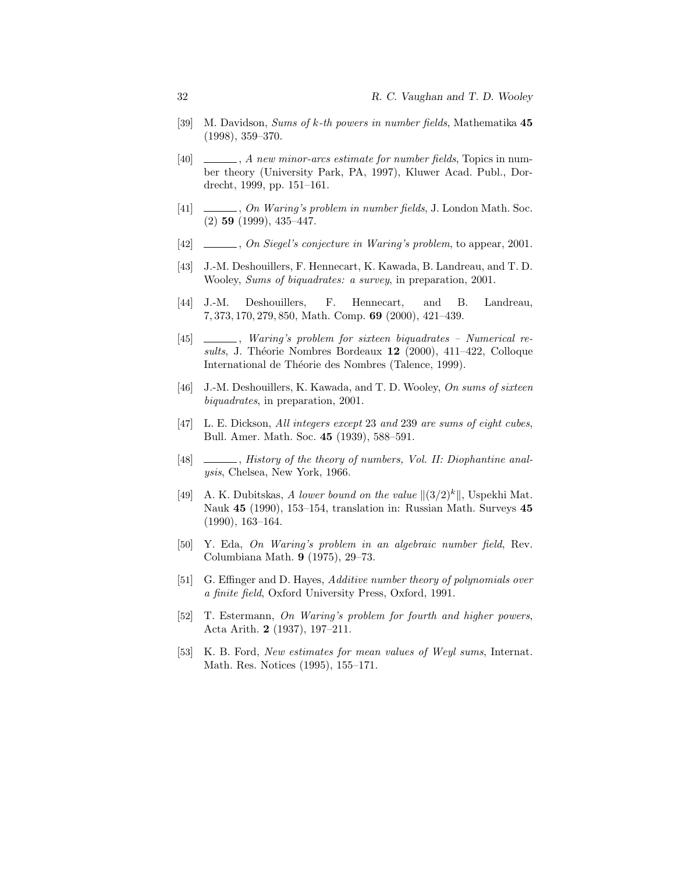- [39] M. Davidson, Sums of k-th powers in number fields, Mathematika 45 (1998), 359–370.
- [40]  $\qquad \qquad$ , A new minor-arcs estimate for number fields, Topics in number theory (University Park, PA, 1997), Kluwer Acad. Publ., Dordrecht, 1999, pp. 151–161.
- $[41] \quad \underline{\hspace{2cm}}$ , On Waring's problem in number fields, J. London Math. Soc. (2) 59 (1999), 435–447.
- [42] , On Siegel's conjecture in Waring's problem, to appear, 2001.
- [43] J.-M. Deshouillers, F. Hennecart, K. Kawada, B. Landreau, and T. D. Wooley, Sums of biquadrates: a survey, in preparation, 2001.
- [44] J.-M. Deshouillers, F. Hennecart, and B. Landreau, 7, 373, 170, 279, 850, Math. Comp. 69 (2000), 421–439.
- [45] , Waring's problem for sixteen biquadrates Numerical results, J. Théorie Nombres Bordeaux  $12$  (2000), 411–422, Colloque International de Théorie des Nombres (Talence, 1999).
- [46] J.-M. Deshouillers, K. Kawada, and T. D. Wooley, On sums of sixteen biquadrates, in preparation, 2001.
- [47] L. E. Dickson, All integers except 23 and 239 are sums of eight cubes, Bull. Amer. Math. Soc. 45 (1939), 588–591.
- [48]  $\Box$ , History of the theory of numbers, Vol. II: Diophantine analysis, Chelsea, New York, 1966.
- [49] A. K. Dubitskas, A lower bound on the value  $||(3/2)^k||$ , Uspekhi Mat. Nauk 45 (1990), 153–154, translation in: Russian Math. Surveys 45 (1990), 163–164.
- [50] Y. Eda, On Waring's problem in an algebraic number field, Rev. Columbiana Math. 9 (1975), 29–73.
- [51] G. Effinger and D. Hayes, Additive number theory of polynomials over a finite field, Oxford University Press, Oxford, 1991.
- [52] T. Estermann, On Waring's problem for fourth and higher powers, Acta Arith. 2 (1937), 197–211.
- [53] K. B. Ford, New estimates for mean values of Weyl sums, Internat. Math. Res. Notices (1995), 155–171.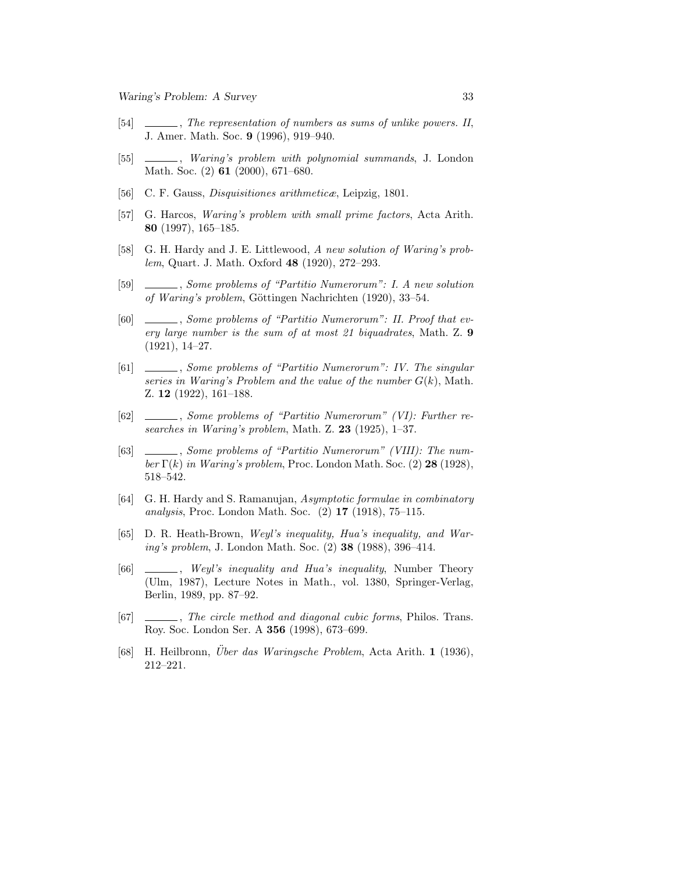- [54] , The representation of numbers as sums of unlike powers. II, J. Amer. Math. Soc. 9 (1996), 919–940.
- [55] , Waring's problem with polynomial summands, J. London Math. Soc. (2) 61 (2000), 671–680.
- [56] C. F. Gauss, Disquisitiones arithmeticæ, Leipzig, 1801.
- [57] G. Harcos, Waring's problem with small prime factors, Acta Arith. 80 (1997), 165–185.
- [58] G. H. Hardy and J. E. Littlewood, A new solution of Waring's problem, Quart. J. Math. Oxford 48 (1920), 272–293.
- [59] , Some problems of "Partitio Numerorum": I. A new solution of Waring's problem, Göttingen Nachrichten (1920), 33–54.
- [60] , Some problems of "Partitio Numerorum": II. Proof that every large number is the sum of at most 21 biquadrates, Math. Z. 9 (1921), 14–27.
- [61] , Some problems of "Partitio Numerorum": IV. The singular series in Waring's Problem and the value of the number  $G(k)$ , Math. Z. 12 (1922), 161–188.
- [62] , Some problems of "Partitio Numerorum" (VI): Further researches in Waring's problem, Math. Z. 23 (1925), 1–37.
- [63] , Some problems of "Partitio Numerorum" (VIII): The number  $\Gamma(k)$  in Waring's problem, Proc. London Math. Soc. (2) 28 (1928), 518–542.
- [64] G. H. Hardy and S. Ramanujan, Asymptotic formulae in combinatory analysis, Proc. London Math. Soc. (2) 17 (1918), 75–115.
- [65] D. R. Heath-Brown, Weyl's inequality, Hua's inequality, and Waring's problem, J. London Math. Soc. (2) 38 (1988), 396–414.
- [66] , Weyl's inequality and Hua's inequality, Number Theory (Ulm, 1987), Lecture Notes in Math., vol. 1380, Springer-Verlag, Berlin, 1989, pp. 87–92.
- [67] , The circle method and diagonal cubic forms, Philos. Trans. Roy. Soc. London Ser. A 356 (1998), 673–699.
- [68] H. Heilbronn, Uber das Waringsche Problem, Acta Arith. 1 (1936), 212–221.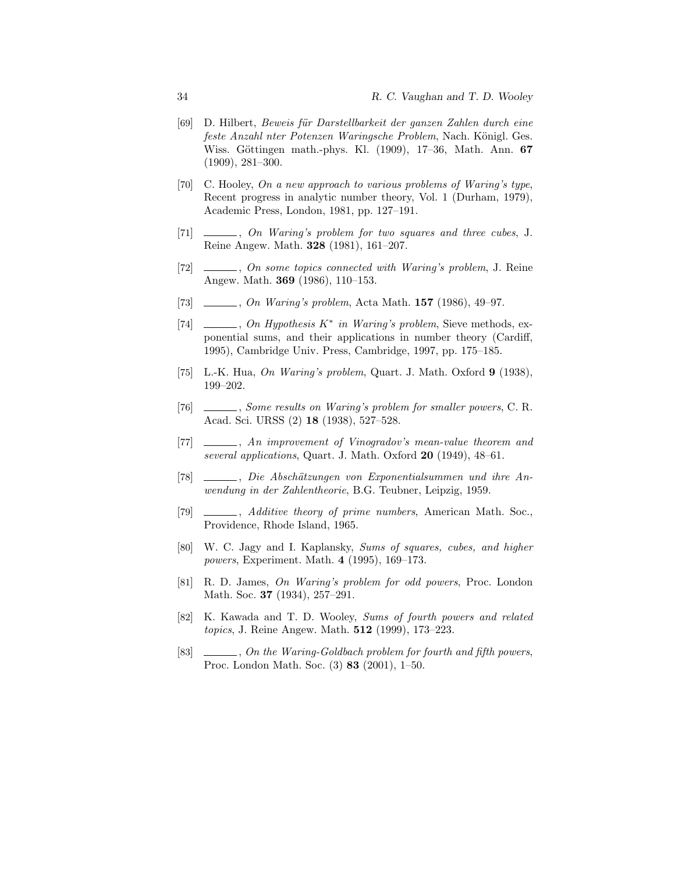- [69] D. Hilbert, Beweis für Darstellbarkeit der ganzen Zahlen durch eine feste Anzahl nter Potenzen Waringsche Problem, Nach. Königl. Ges. Wiss. Göttingen math.-phys. Kl. (1909), 17–36, Math. Ann. 67 (1909), 281–300.
- [70] C. Hooley, On a new approach to various problems of Waring's type, Recent progress in analytic number theory, Vol. 1 (Durham, 1979), Academic Press, London, 1981, pp. 127–191.
- [71]  $\_\_\_\_\_\_$ , On Waring's problem for two squares and three cubes, J. Reine Angew. Math. 328 (1981), 161–207.
- [72] , On some topics connected with Waring's problem, J. Reine Angew. Math. 369 (1986), 110–153.
- [73]  $\_\_\_\_\_$ , On Waring's problem, Acta Math. 157 (1986), 49–97.
- [74]  $\Box$ , On Hypothesis K<sup>\*</sup> in Waring's problem, Sieve methods, exponential sums, and their applications in number theory (Cardiff, 1995), Cambridge Univ. Press, Cambridge, 1997, pp. 175–185.
- [75] L.-K. Hua, On Waring's problem, Quart. J. Math. Oxford  $9$  (1938), 199–202.
- [76] , Some results on Waring's problem for smaller powers, C. R. Acad. Sci. URSS (2) 18 (1938), 527–528.
- [77] \_\_\_\_\_\_, An improvement of Vinogradov's mean-value theorem and several applications, Quart. J. Math. Oxford  $20$  (1949), 48–61.
- [78] , Die Abschätzungen von Exponentialsummen und ihre Anwendung in der Zahlentheorie, B.G. Teubner, Leipzig, 1959.
- [79]  $\_\_\_\_\_\$ , Additive theory of prime numbers, American Math. Soc., Providence, Rhode Island, 1965.
- [80] W. C. Jagy and I. Kaplansky, Sums of squares, cubes, and higher powers, Experiment. Math. 4 (1995), 169–173.
- [81] R. D. James, On Waring's problem for odd powers, Proc. London Math. Soc. 37 (1934), 257–291.
- [82] K. Kawada and T. D. Wooley, Sums of fourth powers and related topics, J. Reine Angew. Math. 512 (1999), 173–223.
- [83] , On the Waring-Goldbach problem for fourth and fifth powers, Proc. London Math. Soc. (3) 83 (2001), 1–50.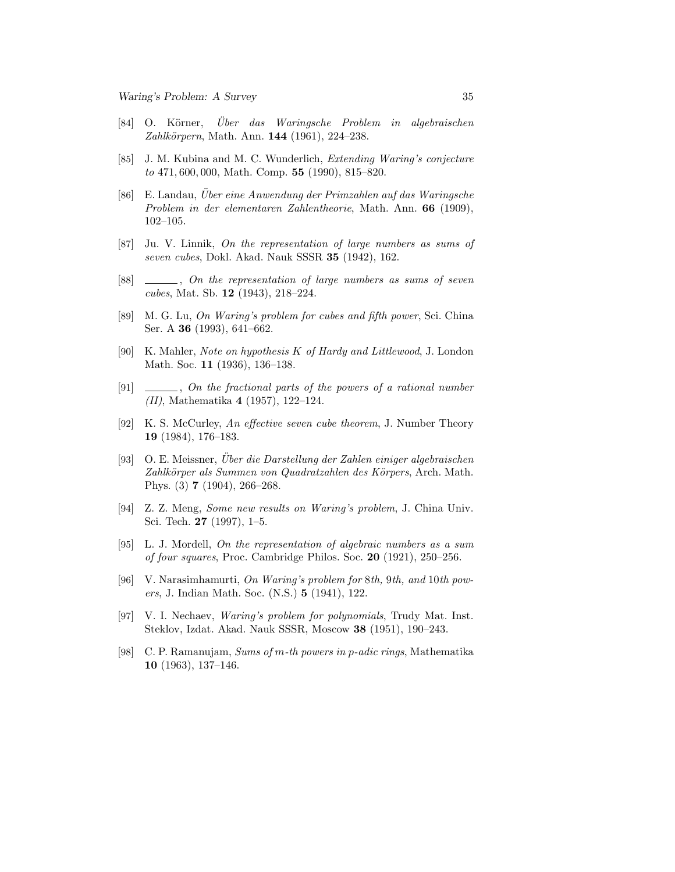- [84] O. Körner, *Über das Waringsche Problem in algebraischen* Zahlkörpern, Math. Ann. 144 (1961), 224–238.
- [85] J. M. Kubina and M. C. Wunderlich, Extending Waring's conjecture to 471, 600, 000, Math. Comp. 55 (1990), 815–820.
- $[86]$  E. Landau, Über eine Anwendung der Primzahlen auf das Waringsche Problem in der elementaren Zahlentheorie, Math. Ann. 66 (1909), 102–105.
- [87] Ju. V. Linnik, On the representation of large numbers as sums of seven cubes, Dokl. Akad. Nauk SSSR 35 (1942), 162.
- [88]  $\_\_\_\_\_\_$ , On the representation of large numbers as sums of seven cubes, Mat. Sb. 12 (1943), 218–224.
- [89] M. G. Lu, On Waring's problem for cubes and fifth power, Sci. China Ser. A 36 (1993), 641–662.
- [90] K. Mahler, Note on hypothesis K of Hardy and Littlewood, J. London Math. Soc. 11 (1936), 136–138.
- [91]  $\_\_\_\_\_$ , On the fractional parts of the powers of a rational number (II), Mathematika 4 (1957), 122–124.
- [92] K. S. McCurley, An effective seven cube theorem, J. Number Theory 19 (1984), 176–183.
- [93] O. E. Meissner, Uber die Darstellung der Zahlen einiger algebraischen ¨ Zahlkörper als Summen von Quadratzahlen des Körpers, Arch. Math. Phys. (3) 7 (1904), 266–268.
- [94] Z. Z. Meng, Some new results on Waring's problem, J. China Univ. Sci. Tech. 27 (1997), 1–5.
- [95] L. J. Mordell, On the representation of algebraic numbers as a sum of four squares, Proc. Cambridge Philos. Soc. 20 (1921), 250–256.
- [96] V. Narasimhamurti, On Waring's problem for 8th, 9th, and 10th powers, J. Indian Math. Soc. (N.S.) 5 (1941), 122.
- [97] V. I. Nechaev, Waring's problem for polynomials, Trudy Mat. Inst. Steklov, Izdat. Akad. Nauk SSSR, Moscow 38 (1951), 190–243.
- [98] C. P. Ramanujam, Sums of m-th powers in p-adic rings, Mathematika 10 (1963), 137–146.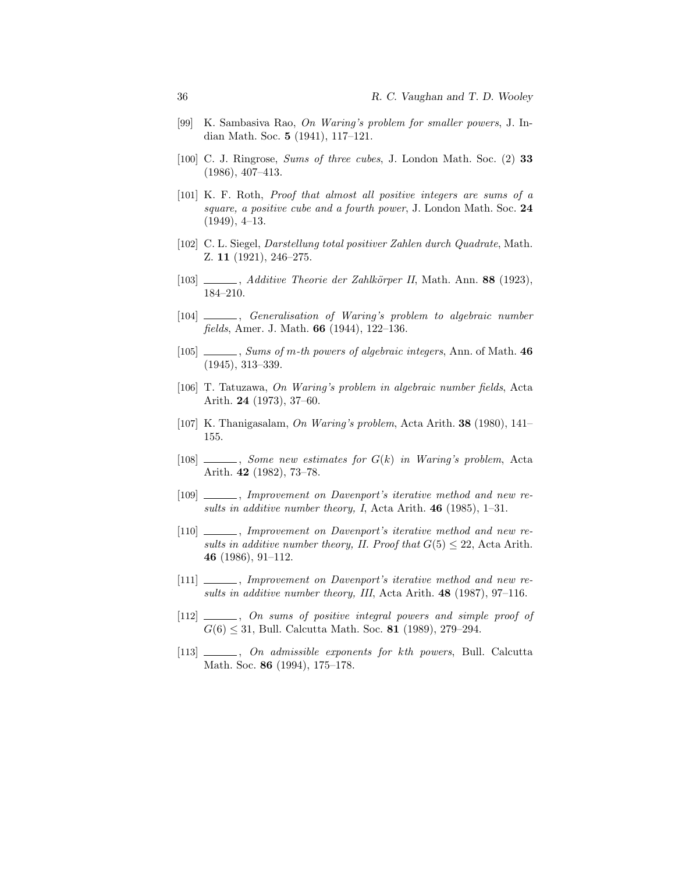- [99] K. Sambasiva Rao, On Waring's problem for smaller powers, J. Indian Math. Soc. 5 (1941), 117–121.
- [100] C. J. Ringrose, Sums of three cubes, J. London Math. Soc. (2) 33 (1986), 407–413.
- [101] K. F. Roth, Proof that almost all positive integers are sums of a square, a positive cube and a fourth power, J. London Math. Soc. 24 (1949), 4–13.
- [102] C. L. Siegel, Darstellung total positiver Zahlen durch Quadrate, Math. Z. 11 (1921), 246–275.
- $[103]$  , Additive Theorie der Zahlkörper II, Math. Ann. 88 (1923), 184–210.
- [104] , Generalisation of Waring's problem to algebraic number fields, Amer. J. Math. 66 (1944), 122–136.
- [105] Sums of m-th powers of algebraic integers, Ann. of Math. 46 (1945), 313–339.
- [106] T. Tatuzawa, On Waring's problem in algebraic number fields, Acta Arith. 24 (1973), 37–60.
- [107] K. Thanigasalam, On Waring's problem, Acta Arith. 38 (1980), 141– 155.
- $[108]$   $\_\_\_\_\_\_\_\_\_\_\_\_\_\_\_\_\_\_\_\_\_\_\_\_\_\_\_\_\_\.\_$  Some new estimates for  $G(k)$  in Waring's problem, Acta Arith. 42 (1982), 73–78.
- [109]  $\_\_\_\_\_\_\_\_\$  Improvement on Davenport's iterative method and new results in additive number theory, I, Acta Arith.  $46$  (1985), 1-31.
- [110]  $\_\_\_\_\_\_\_\$  Improvement on Davenport's iterative method and new results in additive number theory, II. Proof that  $G(5) \leq 22$ , Acta Arith. 46 (1986), 91–112.
- [111] \_\_\_\_\_\_, Improvement on Davenport's iterative method and new results in additive number theory, III, Acta Arith. 48 (1987), 97–116.
- [112]  $\qquad \qquad$ , On sums of positive integral powers and simple proof of  $G(6) \leq 31$ , Bull. Calcutta Math. Soc. 81 (1989), 279–294.
- [113]  $\_\_\_\_\_$ , On admissible exponents for kth powers, Bull. Calcutta Math. Soc. **86** (1994), 175–178.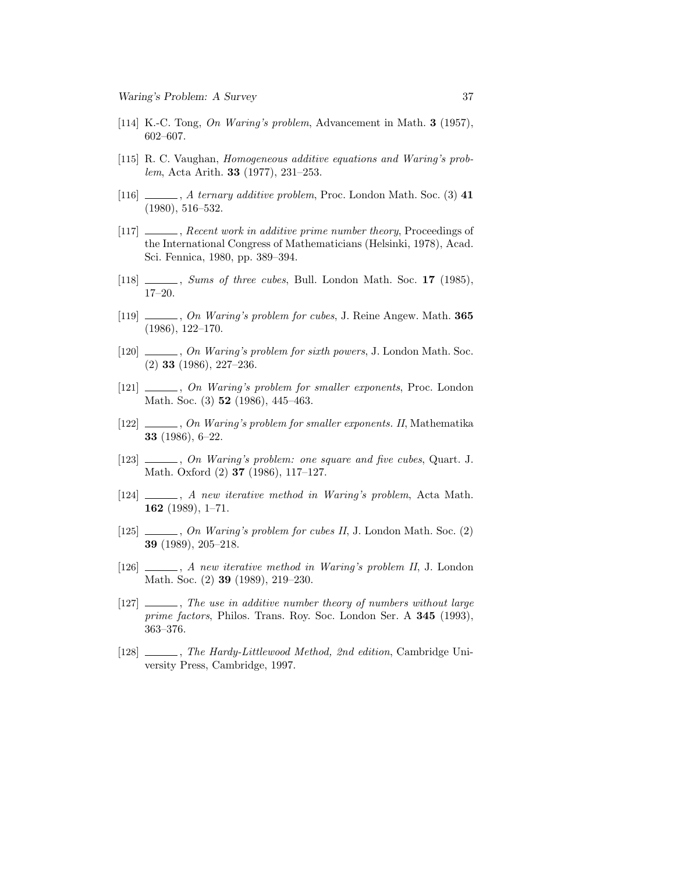- [114] K.-C. Tong, On Waring's problem, Advancement in Math. 3 (1957), 602–607.
- [115] R. C. Vaughan, Homogeneous additive equations and Waring's problem, Acta Arith. 33 (1977), 231–253.
- [116]  $\qquad \qquad$ , A ternary additive problem, Proc. London Math. Soc. (3) 41 (1980), 516–532.
- [117] \_\_\_\_\_\_, Recent work in additive prime number theory, Proceedings of the International Congress of Mathematicians (Helsinki, 1978), Acad. Sci. Fennica, 1980, pp. 389–394.
- [118] Sums of three cubes, Bull. London Math. Soc. 17 (1985), 17–20.
- [119] , On Waring's problem for cubes, J. Reine Angew. Math. 365 (1986), 122–170.
- [120]  $\ldots$ , On Waring's problem for sixth powers, J. London Math. Soc. (2) 33 (1986), 227–236.
- [121]  $\_\_\_\_\_$ , On Waring's problem for smaller exponents, Proc. London Math. Soc. (3) **52** (1986), 445–463.
- [122] , On Waring's problem for smaller exponents. II, Mathematika 33 (1986), 6–22.
- [123]  $\_\_\_\_\_$ , On Waring's problem: one square and five cubes, Quart. J. Math. Oxford (2) 37 (1986), 117–127.
- [124]  $\_\_\_\_\_\_\_\$  A new iterative method in Waring's problem, Acta Math. 162 (1989), 1–71.
- [125] , On Waring's problem for cubes II, J. London Math. Soc. (2) 39 (1989), 205–218.
- [126] , A new iterative method in Waring's problem II, J. London Math. Soc. (2) 39 (1989), 219–230.
- [127]  $\frac{1}{27}$ , The use in additive number theory of numbers without large prime factors, Philos. Trans. Roy. Soc. London Ser. A 345 (1993), 363–376.
- [128]  $\_\_\_\_\_\_\_\$ The Hardy-Littlewood Method, 2nd edition, Cambridge University Press, Cambridge, 1997.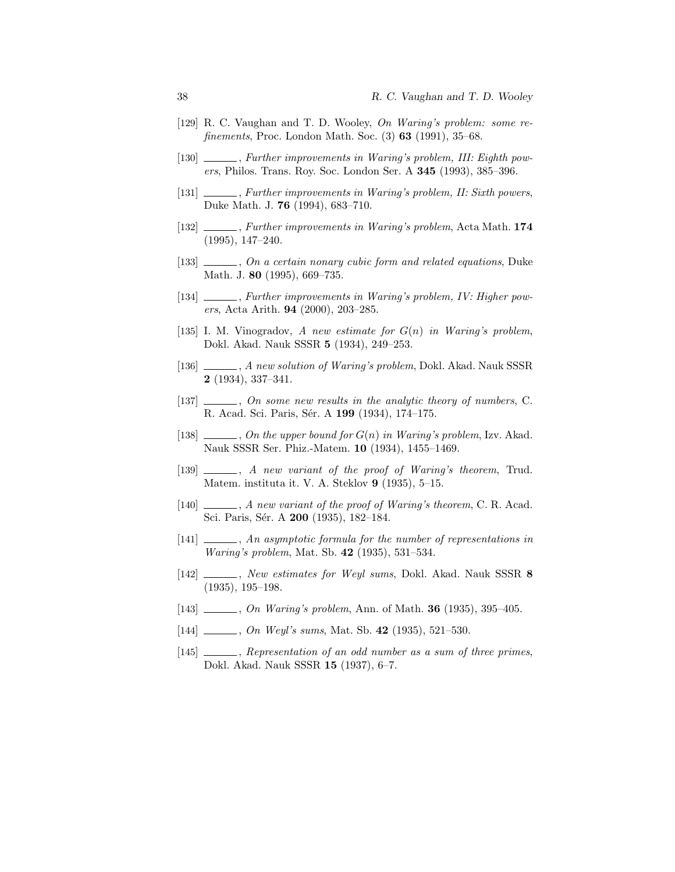- [129] R. C. Vaughan and T. D. Wooley, On Waring's problem: some refinements, Proc. London Math. Soc. (3) 63 (1991), 35–68.
- [130] \_\_\_\_\_\_, Further improvements in Waring's problem, III: Eighth powers, Philos. Trans. Roy. Soc. London Ser. A 345 (1993), 385–396.
- [131] , Further improvements in Waring's problem, II: Sixth powers, Duke Math. J. 76 (1994), 683–710.
- [132]  $\_\_\_\_\_\$  Further improvements in Waring's problem, Acta Math. 174 (1995), 147–240.
- [133]  $\_\_\_\_\_$ , On a certain nonary cubic form and related equations, Duke Math. J. 80 (1995), 669–735.
- [134] , Further improvements in Waring's problem, IV: Higher powers, Acta Arith. 94 (2000), 203–285.
- [135] I. M. Vinogradov, A new estimate for  $G(n)$  in Waring's problem, Dokl. Akad. Nauk SSSR 5 (1934), 249–253.
- [136] , A new solution of Waring's problem, Dokl. Akad. Nauk SSSR 2 (1934), 337–341.
- $[137]$  , On some new results in the analytic theory of numbers, C. R. Acad. Sci. Paris, Sér. A 199 (1934), 174-175.
- [138]  $\ldots$ , On the upper bound for  $G(n)$  in Waring's problem, Izv. Akad. Nauk SSSR Ser. Phiz.-Matem. 10 (1934), 1455–1469.
- [139]  $\_\_\_\_\_\_$ , A new variant of the proof of Waring's theorem, Trud. Matem. instituta it. V. A. Steklov 9 (1935), 5-15.
- $[140]$  , A new variant of the proof of Waring's theorem, C. R. Acad. Sci. Paris, Sér. A 200 (1935), 182-184.
- [141]  $\_\_\_\_\_$ , An asymptotic formula for the number of representations in Waring's problem, Mat. Sb. 42 (1935), 531–534.
- [142] , New estimates for Weyl sums, Dokl. Akad. Nauk SSSR 8 (1935), 195–198.
- [143] , On Waring's problem, Ann. of Math. **36** (1935), 395–405.
- $[144]$  , On Weyl's sums, Mat. Sb. 42 (1935), 521–530.
- [145]  $\_\_\_\_\_\$ , Representation of an odd number as a sum of three primes, Dokl. Akad. Nauk SSSR 15 (1937), 6–7.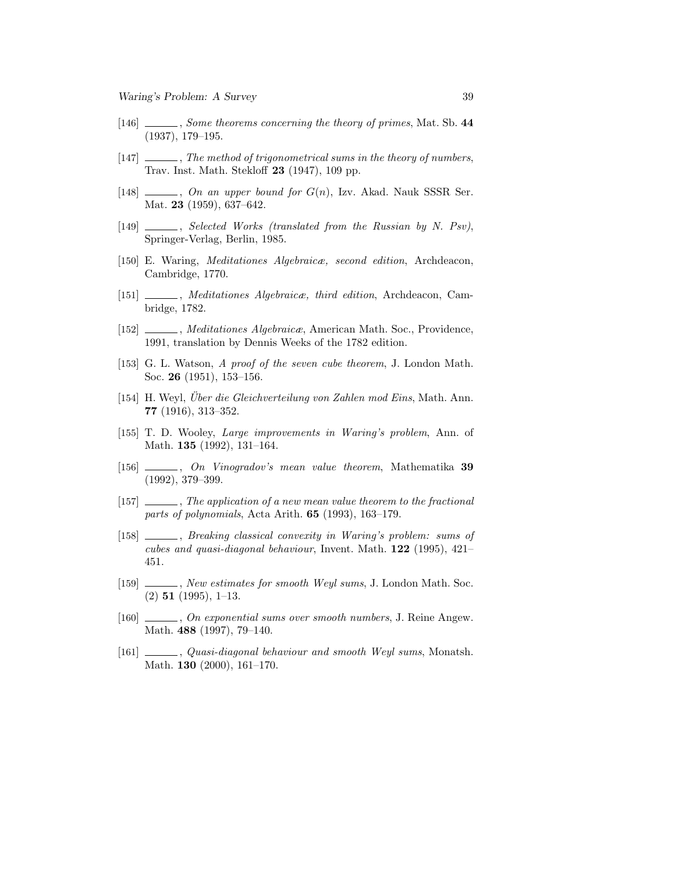- [146] Some theorems concerning the theory of primes, Mat. Sb. 44 (1937), 179–195.
- [147] , The method of trigonometrical sums in the theory of numbers, Trav. Inst. Math. Stekloff 23 (1947), 109 pp.
- [148]  $\ldots$ , On an upper bound for  $G(n)$ , Izv. Akad. Nauk SSSR Ser. Mat. 23 (1959), 637–642.
- [149] Selected Works (translated from the Russian by N. Psv), Springer-Verlag, Berlin, 1985.
- [150] E. Waring, Meditationes Algebraicæ, second edition, Archdeacon, Cambridge, 1770.
- [151] Meditationes Algebraica, third edition, Archdeacon, Cambridge, 1782.
- [152] , Meditationes Algebraicæ, American Math. Soc., Providence, 1991, translation by Dennis Weeks of the 1782 edition.
- [153] G. L. Watson, A proof of the seven cube theorem, J. London Math. Soc. 26 (1951), 153–156.
- [154] H. Weyl, *Über die Gleichverteilung von Zahlen mod Eins*, Math. Ann. 77 (1916), 313–352.
- [155] T. D. Wooley, Large improvements in Waring's problem, Ann. of Math. 135 (1992), 131–164.
- [156]  $\qquad \qquad$ , On Vinogradov's mean value theorem, Mathematika 39 (1992), 379–399.
- [157] , The application of a new mean value theorem to the fractional parts of polynomials, Acta Arith. 65 (1993), 163–179.
- [158]  $\_\_\_\_\_\$ g Breaking classical convexity in Waring's problem: sums of cubes and quasi-diagonal behaviour, Invent. Math. 122 (1995), 421– 451.
- [159] , New estimates for smooth Weyl sums, J. London Math. Soc.  $(2)$  51  $(1995)$ , 1-13.
- [160] , On exponential sums over smooth numbers, J. Reine Angew. Math. 488 (1997), 79–140.
- [161]  $\_\_\_\_\_$ , Quasi-diagonal behaviour and smooth Weyl sums, Monatsh. Math. 130 (2000), 161–170.